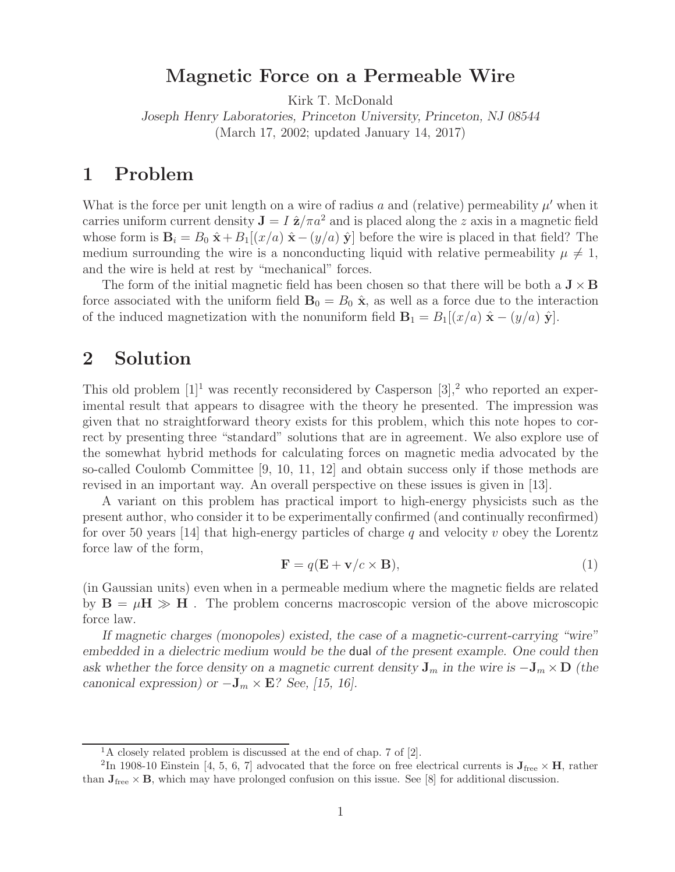## **Magnetic Force on a Permeable Wire**

Kirk T. McDonald

*Joseph Henry Laboratories, Princeton University, Princeton, NJ 08544* (March 17, 2002; updated January 14, 2017)

## **1 Problem**

What is the force per unit length on a wire of radius a and (relative) permeability  $\mu'$  when it carries uniform current density  $J = I \hat{z}/\pi a^2$  and is placed along the z axis in a magnetic field whose form is  $\mathbf{B}_i = B_0 \hat{\mathbf{x}} + B_1[(x/a) \hat{\mathbf{x}} - (y/a) \hat{\mathbf{y}}]$  before the wire is placed in that field? The medium surrounding the wire is a nonconducting liquid with relative permeability  $\mu \neq 1$ , and the wire is held at rest by "mechanical" forces.

The form of the initial magnetic field has been chosen so that there will be both a  $J \times B$ force associated with the uniform field  $\mathbf{B}_0 = B_0 \hat{\mathbf{x}}$ , as well as a force due to the interaction of the induced magnetization with the nonuniform field  $\mathbf{B}_1 = B_1[(x/a) \hat{\mathbf{x}} - (y/a) \hat{\mathbf{y}}]$ .

## **2 Solution**

This old problem  $[1]^1$  was recently reconsidered by Casperson  $[3],^2$  who reported an experimental result that appears to disagree with the theory he presented. The impression was given that no straightforward theory exists for this problem, which this note hopes to correct by presenting three "standard" solutions that are in agreement. We also explore use of the somewhat hybrid methods for calculating forces on magnetic media advocated by the so-called Coulomb Committee [9, 10, 11, 12] and obtain success only if those methods are revised in an important way. An overall perspective on these issues is given in [13].

A variant on this problem has practical import to high-energy physicists such as the present author, who consider it to be experimentally confirmed (and continually reconfirmed) for over 50 years [14] that high-energy particles of charge q and velocity v obey the Lorentz force law of the form,

$$
\mathbf{F} = q(\mathbf{E} + \mathbf{v}/c \times \mathbf{B}),\tag{1}
$$

(in Gaussian units) even when in a permeable medium where the magnetic fields are related by  $\mathbf{B} = \mu \mathbf{H} \gg \mathbf{H}$ . The problem concerns macroscopic version of the above microscopic force law.

*If magnetic charges (monopoles) existed, the case of a magnetic-current-carrying "wire" embedded in a dielectric medium would be the* dual *of the present example. One could then ask whether the force density on a magnetic current density*  $J_m$  *in the wire is*  $-J_m \times D$  *(the canonical expression) or*  $-\mathbf{J}_m \times \mathbf{E}$ ? See, [15, 16].

 $1A$  closely related problem is discussed at the end of chap. 7 of [2].

<sup>&</sup>lt;sup>2</sup>In 1908-10 Einstein [4, 5, 6, 7] advocated that the force on free electrical currents is  $\mathbf{J}_{\text{free}} \times \mathbf{H}$ , rather than  $J_{free} \times B$ , which may have prolonged confusion on this issue. See [8] for additional discussion.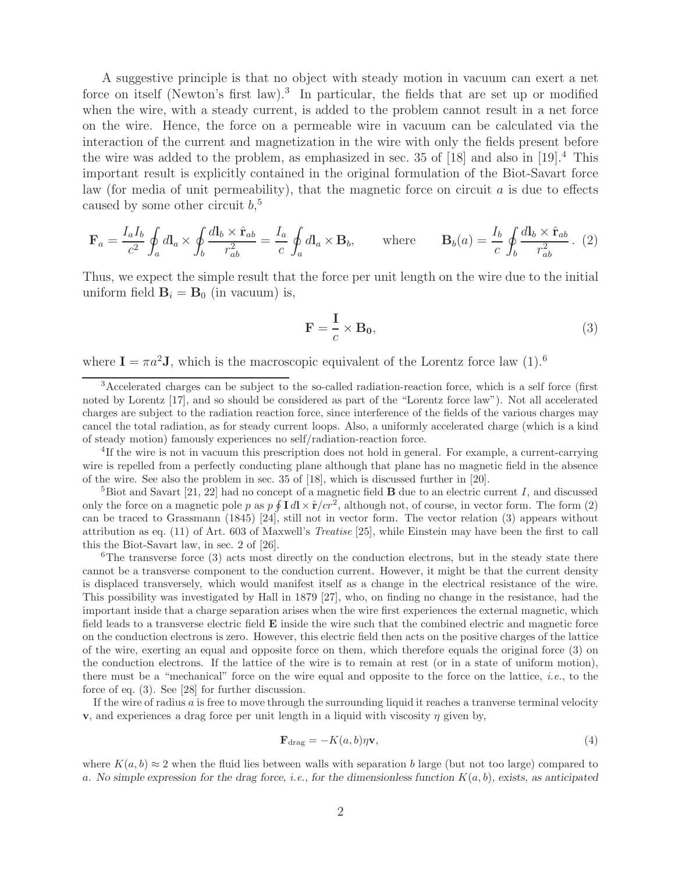A suggestive principle is that no object with steady motion in vacuum can exert a net force on itself (Newton's first law).<sup>3</sup> In particular, the fields that are set up or modified when the wire, with a steady current, is added to the problem cannot result in a net force on the wire. Hence, the force on a permeable wire in vacuum can be calculated via the interaction of the current and magnetization in the wire with only the fields present before the wire was added to the problem, as emphasized in sec. 35 of  $[18]$  and also in  $[19].<sup>4</sup>$  This important result is explicitly contained in the original formulation of the Biot-Savart force law (for media of unit permeability), that the magnetic force on circuit  $a$  is due to effects caused by some other circuit  $b$ ,<sup>5</sup>

$$
\mathbf{F}_a = \frac{I_a I_b}{c^2} \oint_a d\mathbf{l}_a \times \oint_b \frac{d\mathbf{l}_b \times \hat{\mathbf{r}}_{ab}}{r_{ab}^2} = \frac{I_a}{c} \oint_a d\mathbf{l}_a \times \mathbf{B}_b, \quad \text{where} \quad \mathbf{B}_b(a) = \frac{I_b}{c} \oint_b \frac{d\mathbf{l}_b \times \hat{\mathbf{r}}_{ab}}{r_{ab}^2}.
$$
 (2)

Thus, we expect the simple result that the force per unit length on the wire due to the initial uniform field  $\mathbf{B}_i = \mathbf{B}_0$  (in vacuum) is,

$$
\mathbf{F} = \frac{\mathbf{I}}{c} \times \mathbf{B_0},\tag{3}
$$

where  $I = \pi a^2 J$ , which is the macroscopic equivalent of the Lorentz force law (1).<sup>6</sup>

<sup>3</sup>Accelerated charges can be subject to the so-called radiation-reaction force, which is a self force (first noted by Lorentz [17], and so should be considered as part of the "Lorentz force law"). Not all accelerated charges are subject to the radiation reaction force, since interference of the fields of the various charges may cancel the total radiation, as for steady current loops. Also, a uniformly accelerated charge (which is a kind of steady motion) famously experiences no self/radiation-reaction force.

<sup>4</sup>If the wire is not in vacuum this prescription does not hold in general. For example, a current-carrying wire is repelled from a perfectly conducting plane although that plane has no magnetic field in the absence of the wire. See also the problem in sec. 35 of [18], which is discussed further in [20].

 ${}^{5}$ Biot and Savart [21, 22] had no concept of a magnetic field **B** due to an electric current I, and discussed only the force on a magnetic pole p as  $p \oint \mathbf{I} d\mathbf{l} \times \hat{\mathbf{r}}/cr^2$ , although not, of course, in vector form. The form (2) can be traced to Grassmann (1845) [24], still not in vector form. The vector relation (3) appears without attribution as eq. (11) of Art. 603 of Maxwell's *Treatise* [25], while Einstein may have been the first to call this the Biot-Savart law, in sec. 2 of [26].

 ${}^{6}$ The transverse force  $(3)$  acts most directly on the conduction electrons, but in the steady state there cannot be a transverse component to the conduction current. However, it might be that the current density is displaced transversely, which would manifest itself as a change in the electrical resistance of the wire. This possibility was investigated by Hall in 1879 [27], who, on finding no change in the resistance, had the important inside that a charge separation arises when the wire first experiences the external magnetic, which field leads to a transverse electric field **E** inside the wire such that the combined electric and magnetic force on the conduction electrons is zero. However, this electric field then acts on the positive charges of the lattice of the wire, exerting an equal and opposite force on them, which therefore equals the original force (3) on the conduction electrons. If the lattice of the wire is to remain at rest (or in a state of uniform motion), there must be a "mechanical" force on the wire equal and opposite to the force on the lattice, *i.e.*, to the force of eq. (3). See [28] for further discussion.

If the wire of radius  $a$  is free to move through the surrounding liquid it reaches a tranverse terminal velocity **v**, and experiences a drag force per unit length in a liquid with viscosity  $\eta$  given by,

$$
\mathbf{F}_{\text{drag}} = -K(a, b)\eta \mathbf{v},\tag{4}
$$

where  $K(a, b) \approx 2$  when the fluid lies between walls with separation b large (but not too large) compared to a. *No simple expression for the drag force, i.e., for the dimensionless function* K(a, b)*, exists, as anticipated*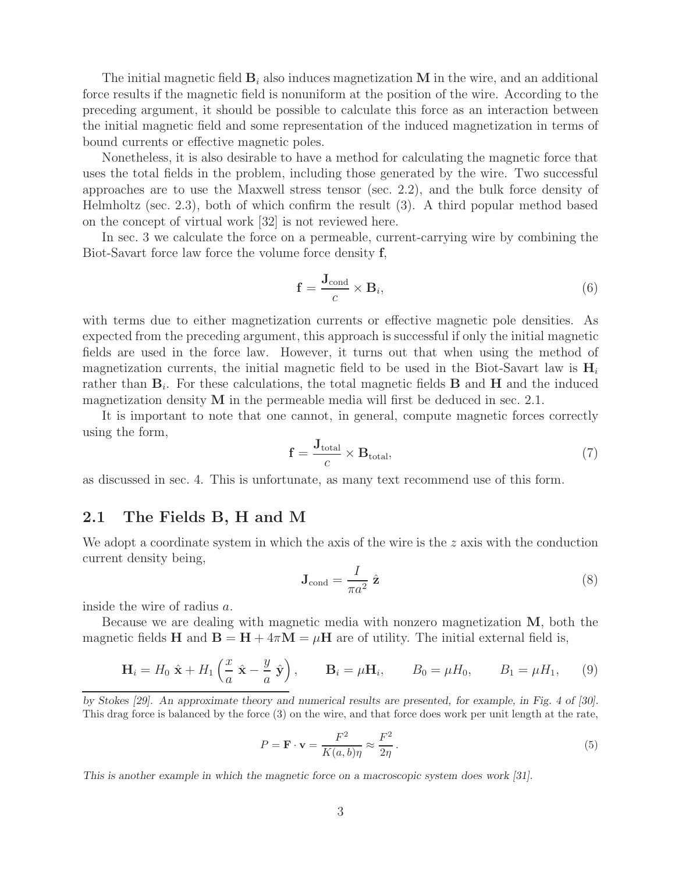The initial magnetic field  $\mathbf{B}_i$  also induces magnetization  $\mathbf{M}$  in the wire, and an additional force results if the magnetic field is nonuniform at the position of the wire. According to the preceding argument, it should be possible to calculate this force as an interaction between the initial magnetic field and some representation of the induced magnetization in terms of bound currents or effective magnetic poles.

Nonetheless, it is also desirable to have a method for calculating the magnetic force that uses the total fields in the problem, including those generated by the wire. Two successful approaches are to use the Maxwell stress tensor (sec. 2.2), and the bulk force density of Helmholtz (sec. 2.3), both of which confirm the result (3). A third popular method based on the concept of virtual work [32] is not reviewed here.

In sec. 3 we calculate the force on a permeable, current-carrying wire by combining the Biot-Savart force law force the volume force density **f**,

$$
\mathbf{f} = \frac{\mathbf{J}_{\text{cond}}}{c} \times \mathbf{B}_i,\tag{6}
$$

with terms due to either magnetization currents or effective magnetic pole densities. As expected from the preceding argument, this approach is successful if only the initial magnetic fields are used in the force law. However, it turns out that when using the method of magnetization currents, the initial magnetic field to be used in the Biot-Savart law is **H**<sup>i</sup> rather than  $\mathbf{B}_i$ . For these calculations, the total magnetic fields **B** and **H** and the induced magnetization density **M** in the permeable media will first be deduced in sec. 2.1.

It is important to note that one cannot, in general, compute magnetic forces correctly using the form,

$$
\mathbf{f} = \frac{\mathbf{J}_{\text{total}}}{c} \times \mathbf{B}_{\text{total}},\tag{7}
$$

as discussed in sec. 4. This is unfortunate, as many text recommend use of this form.

#### **2.1 The Fields B, H and M**

We adopt a coordinate system in which the axis of the wire is the  $z$  axis with the conduction current density being,

$$
\mathbf{J}_{\text{cond}} = \frac{I}{\pi a^2} \hat{\mathbf{z}} \tag{8}
$$

inside the wire of radius a.

Because we are dealing with magnetic media with nonzero magnetization **M**, both the magnetic fields **H** and  $\mathbf{B} = \mathbf{H} + 4\pi\mathbf{M} = \mu\mathbf{H}$  are of utility. The initial external field is,

$$
\mathbf{H}_i = H_0 \hat{\mathbf{x}} + H_1 \left( \frac{x}{a} \hat{\mathbf{x}} - \frac{y}{a} \hat{\mathbf{y}} \right), \qquad \mathbf{B}_i = \mu \mathbf{H}_i, \qquad B_0 = \mu H_0, \qquad B_1 = \mu H_1, \qquad (9)
$$

*by Stokes [29]. An approximate theory and numerical results are presented, for example, in Fig. 4 of [30].* This drag force is balanced by the force (3) on the wire, and that force does work per unit length at the rate,

$$
P = \mathbf{F} \cdot \mathbf{v} = \frac{F^2}{K(a, b)\eta} \approx \frac{F^2}{2\eta}.
$$
\n
$$
(5)
$$

*This is another example in which the magnetic force on a macroscopic system does work [31].*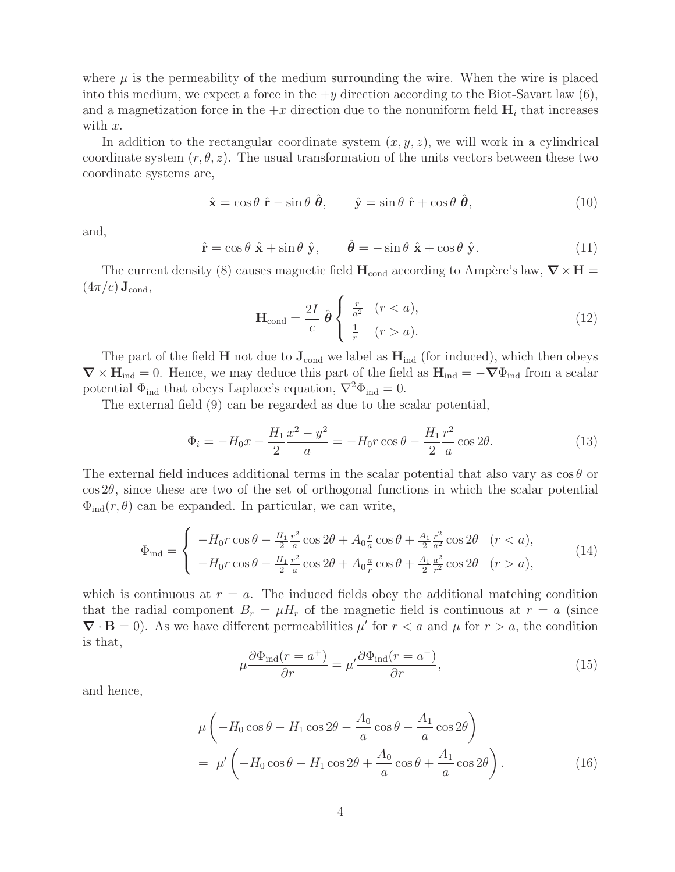where  $\mu$  is the permeability of the medium surrounding the wire. When the wire is placed into this medium, we expect a force in the  $+y$  direction according to the Biot-Savart law  $(6)$ , and a magnetization force in the  $+x$  direction due to the nonuniform field  $\mathbf{H}_i$  that increases with x.

In addition to the rectangular coordinate system  $(x, y, z)$ , we will work in a cylindrical coordinate system  $(r, \theta, z)$ . The usual transformation of the units vectors between these two coordinate systems are,

$$
\hat{\mathbf{x}} = \cos \theta \, \hat{\mathbf{r}} - \sin \theta \, \hat{\boldsymbol{\theta}}, \qquad \hat{\mathbf{y}} = \sin \theta \, \hat{\mathbf{r}} + \cos \theta \, \hat{\boldsymbol{\theta}}, \tag{10}
$$

and,

$$
\hat{\mathbf{r}} = \cos \theta \; \hat{\mathbf{x}} + \sin \theta \; \hat{\mathbf{y}}, \qquad \hat{\boldsymbol{\theta}} = -\sin \theta \; \hat{\mathbf{x}} + \cos \theta \; \hat{\mathbf{y}}. \tag{11}
$$

The current density (8) causes magnetic field  $H_{cond}$  according to Ampère's law,  $\nabla \times H =$  $(4\pi/c)\mathbf{J}_{\text{cond}},$ 

$$
\mathbf{H}_{\text{cond}} = \frac{2I}{c} \hat{\boldsymbol{\theta}} \begin{cases} \frac{r}{a^2} & (r < a), \\ \frac{1}{r} & (r > a). \end{cases} \tag{12}
$$

The part of the field **H** not due to  $J_{cond}$  we label as  $H_{ind}$  (for induced), which then obeys  $\nabla \times \mathbf{H}_{ind} = 0$ . Hence, we may deduce this part of the field as  $\mathbf{H}_{ind} = -\nabla \Phi_{ind}$  from a scalar potential  $\Phi_{\text{ind}}$  that obeys Laplace's equation,  $\nabla^2 \Phi_{\text{ind}} = 0$ .

The external field (9) can be regarded as due to the scalar potential,

$$
\Phi_i = -H_0 x - \frac{H_1}{2} \frac{x^2 - y^2}{a} = -H_0 r \cos \theta - \frac{H_1}{2} \frac{r^2}{a} \cos 2\theta.
$$
 (13)

The external field induces additional terms in the scalar potential that also vary as  $\cos \theta$  or  $\cos 2\theta$ , since these are two of the set of orthogonal functions in which the scalar potential  $\Phi_{\rm ind}(r,\theta)$  can be expanded. In particular, we can write,

$$
\Phi_{\rm ind} = \begin{cases}\n-H_0 r \cos \theta - \frac{H_1}{2} \frac{r^2}{a} \cos 2\theta + A_0 \frac{r}{a} \cos \theta + \frac{A_1}{2} \frac{r^2}{a^2} \cos 2\theta & (r < a), \\
-H_0 r \cos \theta - \frac{H_1}{2} \frac{r^2}{a} \cos 2\theta + A_0 \frac{a}{r} \cos \theta + \frac{A_1}{2} \frac{a^2}{r^2} \cos 2\theta & (r > a),\n\end{cases}
$$
\n(14)

which is continuous at  $r = a$ . The induced fields obey the additional matching condition that the radial component  $B_r = \mu H_r$  of the magnetic field is continuous at  $r = a$  (since  $\nabla \cdot \mathbf{B} = 0$ ). As we have different permeabilities  $\mu'$  for  $r < a$  and  $\mu$  for  $r > a$ , the condition is that,

$$
\mu \frac{\partial \Phi_{\text{ind}}(r = a^{+})}{\partial r} = \mu' \frac{\partial \Phi_{\text{ind}}(r = a^{-})}{\partial r},\tag{15}
$$

and hence,

$$
\mu \left( -H_0 \cos \theta - H_1 \cos 2\theta - \frac{A_0}{a} \cos \theta - \frac{A_1}{a} \cos 2\theta \right)
$$
  
= 
$$
\mu' \left( -H_0 \cos \theta - H_1 \cos 2\theta + \frac{A_0}{a} \cos \theta + \frac{A_1}{a} \cos 2\theta \right).
$$
 (16)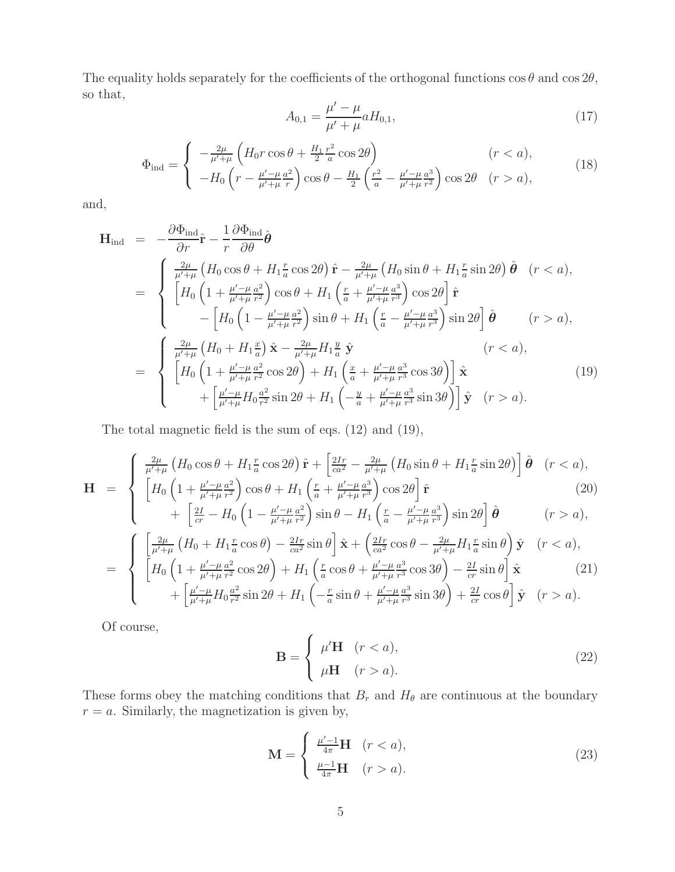The equality holds separately for the coefficients of the orthogonal functions  $\cos \theta$  and  $\cos 2\theta$ , so that,

$$
A_{0,1} = \frac{\mu' - \mu}{\mu' + \mu} a H_{0,1},\tag{17}
$$

$$
\Phi_{\rm ind} = \begin{cases}\n-\frac{2\mu}{\mu' + \mu} \left( H_0 r \cos \theta + \frac{H_1}{2} \frac{r^2}{a} \cos 2\theta \right) & (r < a), \\
-H_0 \left( r - \frac{\mu' - \mu}{\mu' + \mu} \frac{a^2}{r} \right) \cos \theta - \frac{H_1}{2} \left( \frac{r^2}{a} - \frac{\mu' - \mu}{\mu' + \mu} \frac{a^3}{r^2} \right) \cos 2\theta & (r > a),\n\end{cases}
$$
\n(18)

and,

$$
\mathbf{H}_{\text{ind}} = -\frac{\partial \Phi_{\text{ind}}}{\partial r} \hat{\mathbf{r}} - \frac{1}{r} \frac{\partial \Phi_{\text{ind}}}{\partial \theta} \hat{\boldsymbol{\theta}} \n= \begin{cases}\n\frac{2\mu}{\mu' + \mu} \left( H_0 \cos \theta + H_1 \frac{r}{a} \cos 2\theta \right) \hat{\mathbf{r}} - \frac{2\mu}{\mu' + \mu} \left( H_0 \sin \theta + H_1 \frac{r}{a} \sin 2\theta \right) \hat{\boldsymbol{\theta}} & (r < a), \\
\left[ H_0 \left( 1 + \frac{\mu' - \mu}{\mu' + \mu} \frac{a^2}{r^2} \right) \cos \theta + H_1 \left( \frac{r}{a} + \frac{\mu' - \mu}{\mu' + \mu} \frac{a^3}{r^3} \right) \cos 2\theta \right] \hat{\mathbf{r}} \\
- \left[ H_0 \left( 1 - \frac{\mu' - \mu}{\mu' + \mu} \frac{a^2}{r^2} \right) \sin \theta + H_1 \left( \frac{r}{a} - \frac{\mu' - \mu}{\mu' + \mu} \frac{a^3}{r^3} \right) \sin 2\theta \right] \hat{\boldsymbol{\theta}} & (r > a),\n\end{cases}
$$
\n
$$
= \begin{cases}\n\frac{2\mu}{\mu' + \mu} \left( H_0 + H_1 \frac{x}{a} \right) \hat{\mathbf{x}} - \frac{2\mu}{\mu' + \mu} H_1 \frac{y}{a} \hat{\mathbf{y}} & (r < a), \\
\left[ H_0 \left( 1 + \frac{\mu' - \mu}{\mu' + \mu} \frac{a^2}{r^2} \cos 2\theta \right) + H_1 \left( \frac{x}{a} + \frac{\mu' - \mu}{\mu' + \mu} \frac{a^3}{r^3} \cos 3\theta \right) \right] \hat{\mathbf{x}} & (19) \\
+ \left[ \frac{\mu' - \mu}{\mu' + \mu} H_0 \frac{a^2}{r^2} \sin 2\theta + H_1 \left( -\frac{y}{a} + \frac{\mu' - \mu}{\mu' + \mu} \frac{a^3}{r^3} \sin 3\theta \right) \right] \hat{\mathbf{y}} & (r >
$$

The total magnetic field is the sum of eqs. (12) and (19),

$$
\mathbf{H} = \begin{cases} \frac{2\mu}{\mu' + \mu} \left( H_0 \cos \theta + H_1 \frac{r}{a} \cos 2\theta \right) \hat{\mathbf{r}} + \left[ \frac{2Ir}{ca^2} - \frac{2\mu}{\mu' + \mu} \left( H_0 \sin \theta + H_1 \frac{r}{a} \sin 2\theta \right) \right] \hat{\boldsymbol{\theta}} & (r < a), \\ \left[ H_0 \left( 1 + \frac{\mu' - \mu}{\mu' + \mu} \frac{a^2}{r^2} \right) \cos \theta + H_1 \left( \frac{r}{a} + \frac{\mu' - \mu}{\mu' + \mu} \frac{a^3}{r^3} \right) \cos 2\theta \right] \hat{\mathbf{r}} \end{cases} \tag{20}
$$

$$
\begin{aligned}\n&\left[-\frac{2I}{cr} - H_0 \left(1 - \frac{\mu' - \mu}{\mu' + \mu} \frac{a^2}{r^2}\right) \sin \theta - H_1 \left(\frac{r}{a} - \frac{\mu' - \mu}{\mu' + \mu} \frac{a^3}{r^3}\right) \sin 2\theta\right] \hat{\theta} \qquad (r > a),\n\end{aligned}
$$
\n
$$
\left[\frac{2\mu}{\mu' + \mu} \left(H_0 + H_1 \frac{r}{a} \cos \theta\right) - \frac{2Ir}{ca^2} \sin \theta\right] \hat{\mathbf{x}} + \left(\frac{2Ir}{ca^2} \cos \theta - \frac{2\mu}{\mu' + \mu} H_1 \frac{r}{a} \sin \theta\right) \hat{\mathbf{y}} \quad (r < a),
$$

$$
= \begin{cases} \left[ \frac{\mu' + \mu}{\mu' + \mu} (H_0 + H_1 \frac{1}{a} \cos \theta) - \frac{1}{ca^2} \sin \theta \right] \mathbf{x} + \left( \frac{1}{ca^2} \cos \theta - \frac{1}{\mu' + \mu} H_1 \frac{1}{a} \sin \theta \right) \mathbf{y} & (r < a), \\ \left[ H_0 \left( 1 + \frac{\mu' - \mu}{\mu' + \mu} \frac{a^2}{r^2} \cos 2\theta \right) + H_1 \left( \frac{r}{a} \cos \theta + \frac{\mu' - \mu}{\mu' + \mu} \frac{a^3}{r^3} \cos 3\theta \right) - \frac{2I}{cr} \sin \theta \right] \mathbf{\hat{x}} & (21) \\ + \left[ \frac{\mu' - \mu}{\mu' + \mu} H_0 \frac{a^2}{r^2} \sin 2\theta + H_1 \left( -\frac{r}{a} \sin \theta + \frac{\mu' - \mu}{\mu' + \mu} \frac{a^3}{r^3} \sin 3\theta \right) + \frac{2I}{cr} \cos \theta \right] \mathbf{\hat{y}} & (r > a). \end{cases}
$$

Of course,

$$
\mathbf{B} = \begin{cases} \mu' \mathbf{H} & (r < a), \\ \mu \mathbf{H} & (r > a). \end{cases}
$$
 (22)

These forms obey the matching conditions that  $B_r$  and  $H_\theta$  are continuous at the boundary  $r = a$ . Similarly, the magnetization is given by,

$$
\mathbf{M} = \begin{cases} \frac{\mu'-1}{4\pi} \mathbf{H} & (r < a), \\ \frac{\mu-1}{4\pi} \mathbf{H} & (r > a). \end{cases}
$$
 (23)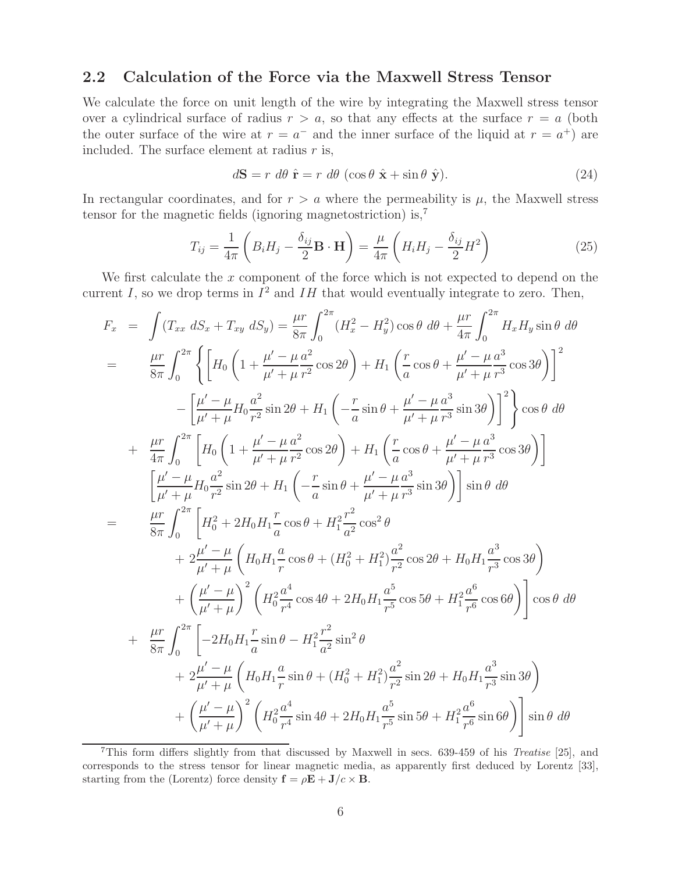### **2.2 Calculation of the Force via the Maxwell Stress Tensor**

We calculate the force on unit length of the wire by integrating the Maxwell stress tensor over a cylindrical surface of radius  $r > a$ , so that any effects at the surface  $r = a$  (both the outer surface of the wire at  $r = a^-$  and the inner surface of the liquid at  $r = a^+$ ) are included. The surface element at radius  $r$  is,

$$
d\mathbf{S} = r \, d\theta \, \hat{\mathbf{r}} = r \, d\theta \, (\cos\theta \, \hat{\mathbf{x}} + \sin\theta \, \hat{\mathbf{y}}). \tag{24}
$$

In rectangular coordinates, and for  $r > a$  where the permeability is  $\mu$ , the Maxwell stress tensor for the magnetic fields (ignoring magnetostriction) is,<sup>7</sup>

$$
T_{ij} = \frac{1}{4\pi} \left( B_i H_j - \frac{\delta_{ij}}{2} \mathbf{B} \cdot \mathbf{H} \right) = \frac{\mu}{4\pi} \left( H_i H_j - \frac{\delta_{ij}}{2} H^2 \right)
$$
(25)

We first calculate the  $x$  component of the force which is not expected to depend on the current I, so we drop terms in  $I^2$  and IH that would eventually integrate to zero. Then,

$$
F_x = \int (T_{xx} dS_x + T_{xy} dS_y) = \frac{\mu r}{8\pi} \int_0^{2\pi} (H_x^2 - H_y^2) \cos \theta d\theta + \frac{\mu r}{4\pi} \int_0^{2\pi} H_x H_y \sin \theta d\theta
$$
  
\n
$$
= \frac{\mu r}{8\pi} \int_0^{2\pi} \left\{ \left[ H_0 \left( 1 + \frac{\mu' - \mu a^2}{\mu' + \mu r^2} \cos 2\theta \right) + H_1 \left( \frac{r}{a} \cos \theta + \frac{\mu' - \mu a^3}{\mu' + \mu r^3} \cos 3\theta \right) \right]^2 - \left[ \frac{\mu' - \mu}{\mu' + \mu} H_0 \frac{a^2}{r^2} \sin 2\theta + H_1 \left( -\frac{r}{a} \sin \theta + \frac{\mu' - \mu a^3}{\mu' + \mu r^3} \sin 3\theta \right) \right]^2 \right\} \cos \theta d\theta
$$
  
\n
$$
+ \frac{\mu r}{4\pi} \int_0^{2\pi} \left[ H_0 \left( 1 + \frac{\mu' - \mu a^2}{\mu' + \mu r^2} \cos 2\theta \right) + H_1 \left( \frac{r}{a} \cos \theta + \frac{\mu' - \mu a^3}{\mu' + \mu r^3} \cos 3\theta \right) \right]
$$
  
\n
$$
= \frac{\mu r}{8\pi} \int_0^{2\pi} \left[ H_0^2 + 2H_0 H_1 \frac{r}{a} \cos \theta + H_1^2 \frac{r^2}{a^2} \cos^2 \theta \right.
$$
  
\n
$$
+ 2\frac{\mu' - \mu}{\mu' + \mu} \left( H_0 H_1 \frac{a}{r} \cos \theta + H_1^2 \frac{r^2}{a^2} \cos^2 \theta \right.
$$
  
\n
$$
+ 2\frac{\mu' - \mu}{\mu' + \mu} \left( H_0 H_1 \frac{a}{r} \cos \theta + (H_0^2 + H_1^2) \frac{a^2}{r^2} \cos 2\theta + H_0 H_1 \frac{a^3}{r^3} \cos 3\theta \right)
$$
  
\n
$$
+ \left( \frac{\mu' - \mu}{\mu' + \mu} \
$$

<sup>7</sup>This form differs slightly from that discussed by Maxwell in secs. 639-459 of his *Treatise* [25], and corresponds to the stress tensor for linear magnetic media, as apparently first deduced by Lorentz [33], starting from the (Lorentz) force density  $\mathbf{f} = \rho \mathbf{E} + \mathbf{J}/c \times \mathbf{B}$ .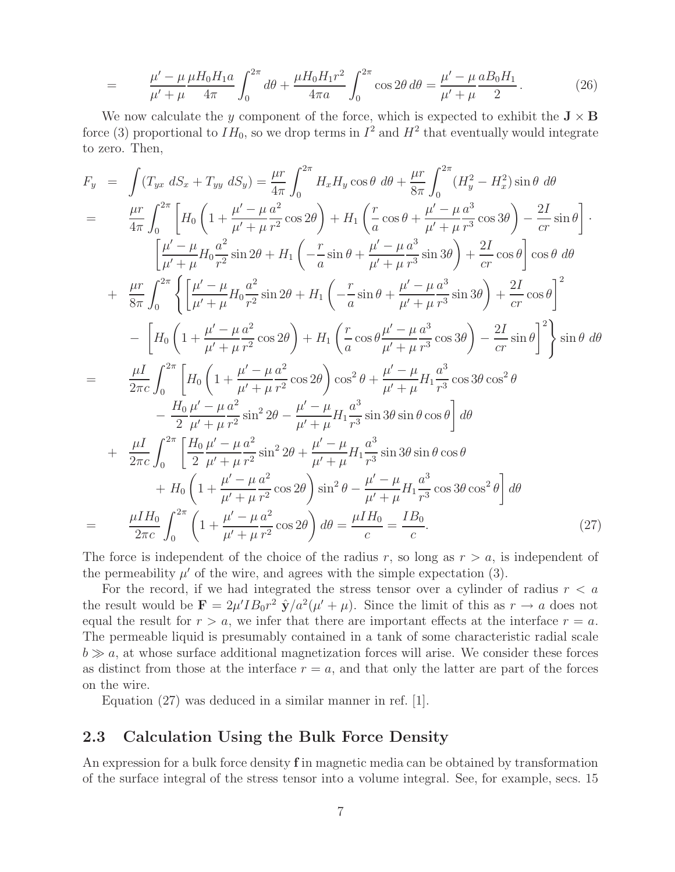$$
= \frac{\mu' - \mu}{\mu' + \mu} \frac{\mu H_0 H_1 a}{4\pi} \int_0^{2\pi} d\theta + \frac{\mu H_0 H_1 r^2}{4\pi a} \int_0^{2\pi} \cos 2\theta d\theta = \frac{\mu' - \mu}{\mu' + \mu} \frac{a B_0 H_1}{2}.
$$
 (26)

We now calculate the y component of the force, which is expected to exhibit the  $J \times B$ force (3) proportional to  $IH_0$ , so we drop terms in  $I^2$  and  $H^2$  that eventually would integrate to zero. Then,

$$
F_y = \int (T_{yx} dS_x + T_{yy} dS_y) = \frac{\mu r}{4\pi} \int_0^{2\pi} H_x H_y \cos\theta d\theta + \frac{\mu r}{8\pi} \int_0^{2\pi} (H_y^2 - H_x^2) \sin\theta d\theta
$$
  
\n
$$
= \frac{\mu r}{4\pi} \int_0^{2\pi} \left[ H_0 \left( 1 + \frac{\mu' - \mu}{\mu' + \mu} \frac{a^2}{r^2} \cos 2\theta \right) + H_1 \left( \frac{r}{a} \cos \theta + \frac{\mu' - \mu}{\mu' + \mu} \frac{a^3}{r^3} \cos 3\theta \right) - \frac{2I}{cr} \sin \theta \right] \cdot \left[ \frac{\mu' - \mu}{\mu' + \mu} H_0 \frac{a^2}{r^2} \sin 2\theta + H_1 \left( -\frac{r}{a} \sin \theta + \frac{\mu' - \mu}{\mu' + \mu} \frac{a^3}{r^3} \sin 3\theta \right) + \frac{2I}{cr} \cos \theta \right] \cos \theta d\theta
$$
  
\n
$$
+ \frac{\mu r}{8\pi} \int_0^{2\pi} \left\{ \left[ \frac{\mu' - \mu}{\mu' + \mu} H_0 \frac{a^2}{r^2} \sin 2\theta + H_1 \left( -\frac{r}{a} \sin \theta + \frac{\mu' - \mu}{\mu' + \mu} \frac{a^3}{r^3} \sin 3\theta \right) + \frac{2I}{cr} \cos \theta \right]^2 - \left[ H_0 \left( 1 + \frac{\mu' - \mu}{\mu' + \mu} \frac{a^2}{r^2} \cos 2\theta \right) + H_1 \left( \frac{r}{a} \cos \theta \frac{\mu' - \mu}{\mu' + \mu} \frac{a^3}{r^3} \cos 3\theta \right) - \frac{2I}{cr} \sin \theta \right]^2 \right\} \sin \theta d\theta
$$
  
\n
$$
- \frac{\mu I}{2\pi c} \int_0^{2\pi} \left[ H_0 \left( 1 + \frac{\mu' - \mu}{\mu' + \mu} \frac{a^2}{r^2} \cos 2\theta \right) \cos^2 \theta + \frac{\mu' - \mu}{\mu' + \mu} \frac{a^3}{r^3} \cos
$$

The force is independent of the choice of the radius r, so long as  $r > a$ , is independent of the permeability  $\mu'$  of the wire, and agrees with the simple expectation (3).

For the record, if we had integrated the stress tensor over a cylinder of radius  $r < a$ the result would be  $\mathbf{F} = 2\mu' I B_0 r^2 \hat{\mathbf{y}}/a^2(\mu' + \mu)$ . Since the limit of this as  $r \to a$  does not equal the result for  $r > a$ , we infer that there are important effects at the interface  $r = a$ . The permeable liquid is presumably contained in a tank of some characteristic radial scale  $b \gg a$ , at whose surface additional magnetization forces will arise. We consider these forces as distinct from those at the interface  $r = a$ , and that only the latter are part of the forces on the wire.

Equation (27) was deduced in a similar manner in ref. [1].

### **2.3 Calculation Using the Bulk Force Density**

An expression for a bulk force density **f** in magnetic media can be obtained by transformation of the surface integral of the stress tensor into a volume integral. See, for example, secs. 15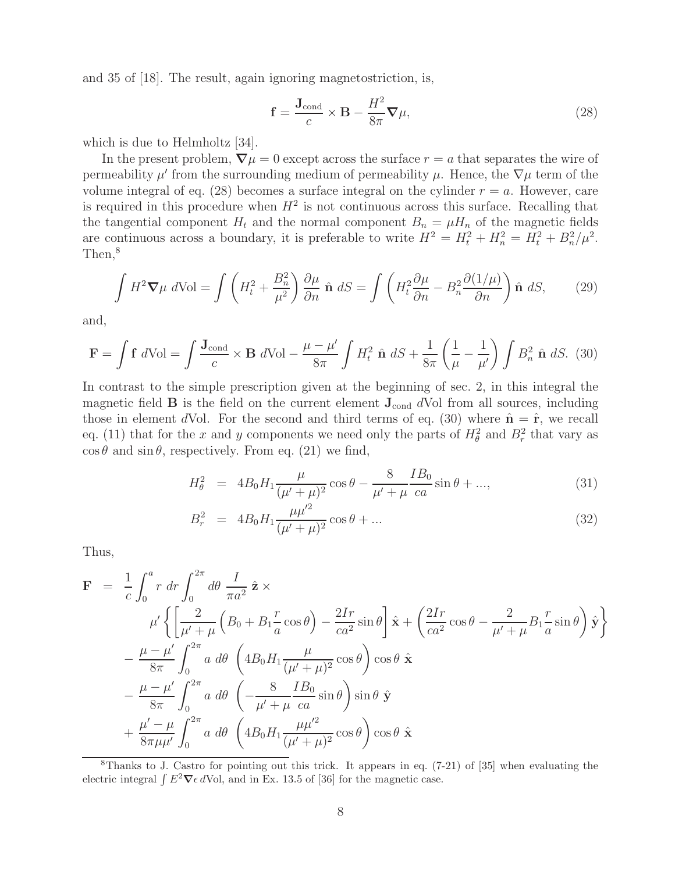and 35 of [18]. The result, again ignoring magnetostriction, is,

$$
\mathbf{f} = \frac{\mathbf{J}_{\text{cond}}}{c} \times \mathbf{B} - \frac{H^2}{8\pi} \nabla \mu,
$$
\n(28)

which is due to Helmholtz [34].

In the present problem,  $\nabla \mu = 0$  except across the surface  $r = a$  that separates the wire of permeability  $\mu'$  from the surrounding medium of permeability  $\mu$ . Hence, the  $\nabla \mu$  term of the volume integral of eq. (28) becomes a surface integral on the cylinder  $r = a$ . However, care is required in this procedure when  $H^2$  is not continuous across this surface. Recalling that the tangential component  $H_t$  and the normal component  $B_n = \mu H_n$  of the magnetic fields are continuous across a boundary, it is preferable to write  $H^2 = H_t^2 + H_n^2 = H_t^2 + B_n^2/\mu^2$ . Then,<sup>8</sup>

$$
\int H^2 \nabla \mu \ d\text{Vol} = \int \left( H_t^2 + \frac{B_n^2}{\mu^2} \right) \frac{\partial \mu}{\partial n} \hat{\mathbf{n}} \ dS = \int \left( H_t^2 \frac{\partial \mu}{\partial n} - B_n^2 \frac{\partial (1/\mu)}{\partial n} \right) \hat{\mathbf{n}} \ dS, \tag{29}
$$

and,

$$
\mathbf{F} = \int \mathbf{f} \ d\text{Vol} = \int \frac{\mathbf{J}_{\text{cond}}}{c} \times \mathbf{B} \ d\text{Vol} - \frac{\mu - \mu'}{8\pi} \int H_t^2 \ \hat{\mathbf{n}} \ dS + \frac{1}{8\pi} \left( \frac{1}{\mu} - \frac{1}{\mu'} \right) \int B_n^2 \ \hat{\mathbf{n}} \ dS. \tag{30}
$$

In contrast to the simple prescription given at the beginning of sec. 2, in this integral the magnetic field  $\bf{B}$  is the field on the current element  $\bf{J}_{cond}$  dVol from all sources, including those in element dVol. For the second and third terms of eq. (30) where  $\hat{\mathbf{n}} = \hat{\mathbf{r}}$ , we recall eq. (11) that for the x and y components we need only the parts of  $H^2_{\theta}$  and  $B^2_r$  that vary as  $\cos \theta$  and  $\sin \theta$ , respectively. From eq. (21) we find,

$$
H_{\theta}^{2} = 4B_{0}H_{1}\frac{\mu}{(\mu'+\mu)^{2}}\cos\theta - \frac{8}{\mu'+\mu}\frac{IB_{0}}{ca}\sin\theta + ..., \qquad (31)
$$

$$
B_r^2 = 4B_0 H_1 \frac{\mu \mu'^2}{(\mu' + \mu)^2} \cos \theta + \dots \tag{32}
$$

Thus,

$$
\mathbf{F} = \frac{1}{c} \int_0^a r \, dr \int_0^{2\pi} d\theta \, \frac{I}{\pi a^2} \, \hat{\mathbf{z}} \times
$$
\n
$$
\mu' \left\{ \left[ \frac{2}{\mu' + \mu} \left( B_0 + B_1 \frac{r}{a} \cos \theta \right) - \frac{2Ir}{ca^2} \sin \theta \right] \hat{\mathbf{x}} + \left( \frac{2Ir}{ca^2} \cos \theta - \frac{2}{\mu' + \mu} B_1 \frac{r}{a} \sin \theta \right) \hat{\mathbf{y}} \right\}
$$
\n
$$
- \frac{\mu - \mu'}{8\pi} \int_0^{2\pi} a \, d\theta \, \left( 4B_0 H_1 \frac{\mu}{(\mu' + \mu)^2} \cos \theta \right) \cos \theta \, \hat{\mathbf{x}}
$$
\n
$$
- \frac{\mu - \mu'}{8\pi} \int_0^{2\pi} a \, d\theta \, \left( -\frac{8}{\mu' + \mu} \frac{IB_0}{ca} \sin \theta \right) \sin \theta \, \hat{\mathbf{y}}
$$
\n
$$
+ \frac{\mu' - \mu}{8\pi \mu \mu'} \int_0^{2\pi} a \, d\theta \, \left( 4B_0 H_1 \frac{\mu \mu'^2}{(\mu' + \mu)^2} \cos \theta \right) \cos \theta \, \hat{\mathbf{x}}
$$

<sup>8</sup>Thanks to J. Castro for pointing out this trick. It appears in eq. (7-21) of [35] when evaluating the electric integral  $\int E^2 \nabla \epsilon dV$ ol, and in Ex. 13.5 of [36] for the magnetic case.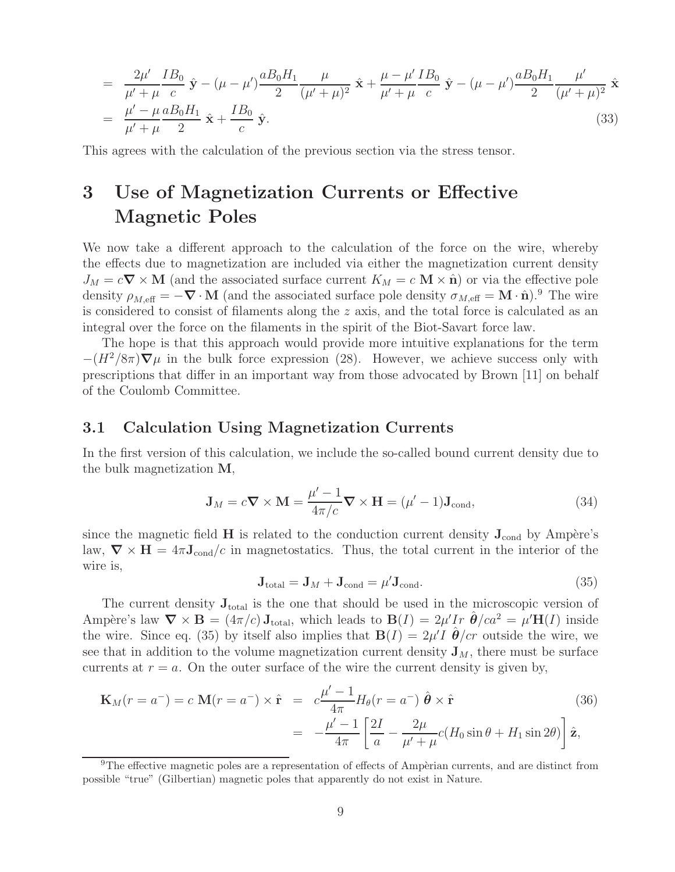$$
= \frac{2\mu'}{\mu' + \mu} \frac{IB_0}{c} \hat{\mathbf{y}} - (\mu - \mu') \frac{aB_0H_1}{2} \frac{\mu}{(\mu' + \mu)^2} \hat{\mathbf{x}} + \frac{\mu - \mu'}{\mu' + \mu} \frac{IB_0}{c} \hat{\mathbf{y}} - (\mu - \mu') \frac{aB_0H_1}{2} \frac{\mu'}{(\mu' + \mu)^2} \hat{\mathbf{x}}
$$
  
= 
$$
\frac{\mu' - \mu}{\mu' + \mu} \frac{aB_0H_1}{2} \hat{\mathbf{x}} + \frac{IB_0}{c} \hat{\mathbf{y}}.
$$
 (33)

This agrees with the calculation of the previous section via the stress tensor.

# **3 Use of Magnetization Currents or Effective Magnetic Poles**

We now take a different approach to the calculation of the force on the wire, whereby the effects due to magnetization are included via either the magnetization current density  $J_M = c \nabla \times M$  (and the associated surface current  $K_M = c \nabla \times \hat{\mathbf{n}}$ ) or via the effective pole density  $\rho_{M,eff} = -\nabla \cdot \mathbf{M}$  (and the associated surface pole density  $\sigma_{M,eff} = \mathbf{M} \cdot \hat{\mathbf{n}}$ ).<sup>9</sup> The wire is considered to consist of filaments along the  $z$  axis, and the total force is calculated as an integral over the force on the filaments in the spirit of the Biot-Savart force law.

The hope is that this approach would provide more intuitive explanations for the term  $-(H^2/8\pi)\nabla\mu$  in the bulk force expression (28). However, we achieve success only with prescriptions that differ in an important way from those advocated by Brown [11] on behalf of the Coulomb Committee.

#### **3.1 Calculation Using Magnetization Currents**

In the first version of this calculation, we include the so-called bound current density due to the bulk magnetization **M**,

$$
\mathbf{J}_M = c\mathbf{\nabla} \times \mathbf{M} = \frac{\mu' - 1}{4\pi/c} \mathbf{\nabla} \times \mathbf{H} = (\mu' - 1)\mathbf{J}_{\text{cond}},\tag{34}
$$

since the magnetic field **H** is related to the conduction current density  $J_{\text{cond}}$  by Ampère's law,  $\nabla \times \mathbf{H} = 4\pi \mathbf{J}_{\text{cond}}/c$  in magnetostatics. Thus, the total current in the interior of the wire is,

$$
\mathbf{J}_{\text{total}} = \mathbf{J}_M + \mathbf{J}_{\text{cond}} = \mu' \mathbf{J}_{\text{cond}}.\tag{35}
$$

The current density **J**total is the one that should be used in the microscopic version of Ampère's law  $\nabla \times \mathbf{B} = (4\pi/c)\mathbf{J}_{\text{total}}$ , which leads to  $\mathbf{B}(I) = 2\mu'Ir \hat{\boldsymbol{\theta}}/ca^2 = \mu'\mathbf{H}(I)$  inside the wire. Since eq. (35) by itself also implies that  $\mathbf{B}(I)=2\mu'I \hat{\boldsymbol{\theta}}/cr$  outside the wire, we see that in addition to the volume magnetization current density  $\mathbf{J}_M$ , there must be surface currents at  $r = a$ . On the outer surface of the wire the current density is given by,

$$
\mathbf{K}_M(r = a^-) = c \mathbf{M}(r = a^-) \times \hat{\mathbf{r}} = c \frac{\mu' - 1}{4\pi} H_\theta(r = a^-) \hat{\boldsymbol{\theta}} \times \hat{\mathbf{r}} \tag{36}
$$
\n
$$
= -\frac{\mu' - 1}{4\pi} \left[ \frac{2I}{a} - \frac{2\mu}{\mu' + \mu} c(H_0 \sin \theta + H_1 \sin 2\theta) \right] \hat{\mathbf{z}},
$$

<sup>&</sup>lt;sup>9</sup>The effective magnetic poles are a representation of effects of Ampèrian currents, and are distinct from possible "true" (Gilbertian) magnetic poles that apparently do not exist in Nature.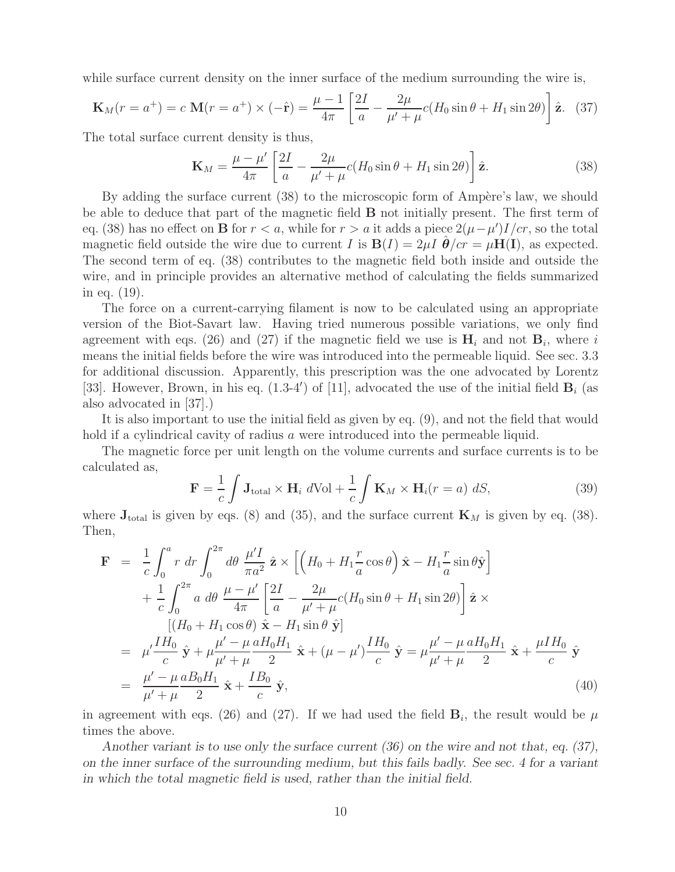while surface current density on the inner surface of the medium surrounding the wire is,

$$
\mathbf{K}_M(r=a^+) = c \mathbf{M}(r=a^+) \times (-\hat{\mathbf{r}}) = \frac{\mu-1}{4\pi} \left[ \frac{2I}{a} - \frac{2\mu}{\mu' + \mu} c(H_0 \sin \theta + H_1 \sin 2\theta) \right] \hat{\mathbf{z}}.
$$
 (37)

The total surface current density is thus,

$$
\mathbf{K}_M = \frac{\mu - \mu'}{4\pi} \left[ \frac{2I}{a} - \frac{2\mu}{\mu' + \mu} c(H_0 \sin \theta + H_1 \sin 2\theta) \right] \hat{\mathbf{z}}.
$$
 (38)

By adding the surface current (38) to the microscopic form of Ampère's law, we should be able to deduce that part of the magnetic field **B** not initially present. The first term of eq. (38) has no effect on **B** for  $r < a$ , while for  $r > a$  it adds a piece  $2(\mu - \mu')I/cr$ , so the total magnetic field outside the wire due to current I is  $B(I)=2\mu I \hat{\theta}/c\tau = \mu H(I)$ , as expected. The second term of eq. (38) contributes to the magnetic field both inside and outside the wire, and in principle provides an alternative method of calculating the fields summarized in eq. (19).

The force on a current-carrying filament is now to be calculated using an appropriate version of the Biot-Savart law. Having tried numerous possible variations, we only find agreement with eqs. (26) and (27) if the magnetic field we use is  $\mathbf{H}_i$  and not  $\mathbf{B}_i$ , where i means the initial fields before the wire was introduced into the permeable liquid. See sec. 3.3 for additional discussion. Apparently, this prescription was the one advocated by Lorentz [33]. However, Brown, in his eq.  $(1.3-4')$  of [11], advocated the use of the initial field  $\mathbf{B}_i$  (as also advocated in [37].)

It is also important to use the initial field as given by eq. (9), and not the field that would hold if a cylindrical cavity of radius a were introduced into the permeable liquid.

The magnetic force per unit length on the volume currents and surface currents is to be calculated as,

$$
\mathbf{F} = \frac{1}{c} \int \mathbf{J}_{\text{total}} \times \mathbf{H}_i \ d\text{Vol} + \frac{1}{c} \int \mathbf{K}_M \times \mathbf{H}_i (r = a) \ dS,
$$
 (39)

where  $J_{total}$  is given by eqs. (8) and (35), and the surface current  $K_M$  is given by eq. (38). Then,

$$
\mathbf{F} = \frac{1}{c} \int_0^a r \, dr \int_0^{2\pi} d\theta \, \frac{\mu'I}{\pi a^2} \, \hat{\mathbf{z}} \times \left[ \left( H_0 + H_1 \frac{r}{a} \cos \theta \right) \hat{\mathbf{x}} - H_1 \frac{r}{a} \sin \theta \hat{\mathbf{y}} \right] \n+ \frac{1}{c} \int_0^{2\pi} a \, d\theta \, \frac{\mu - \mu'}{4\pi} \left[ \frac{2I}{a} - \frac{2\mu}{\mu' + \mu} c (H_0 \sin \theta + H_1 \sin 2\theta) \right] \hat{\mathbf{z}} \times \n\left[ (H_0 + H_1 \cos \theta) \hat{\mathbf{x}} - H_1 \sin \theta \hat{\mathbf{y}} \right] \n= \mu' \frac{IH_0}{c} \hat{\mathbf{y}} + \mu \frac{\mu' - \mu}{\mu' + \mu} \frac{aH_0 H_1}{2} \hat{\mathbf{x}} + (\mu - \mu') \frac{IH_0}{c} \hat{\mathbf{y}} = \mu \frac{\mu' - \mu}{\mu' + \mu} \frac{aH_0 H_1}{2} \hat{\mathbf{x}} + \frac{\mu IH_0}{c} \hat{\mathbf{y}} \n= \frac{\mu' - \mu}{\mu' + \mu} \frac{aB_0 H_1}{2} \hat{\mathbf{x}} + \frac{IB_0}{c} \hat{\mathbf{y}},
$$
\n(40)

in agreement with eqs. (26) and (27). If we had used the field  $\mathbf{B}_i$ , the result would be  $\mu$ times the above.

*Another variant is to use only the surface current (36) on the wire and not that, eq. (37), on the inner surface of the surrounding medium, but this fails badly. See sec. 4 for a variant in which the total magnetic field is used, rather than the initial field.*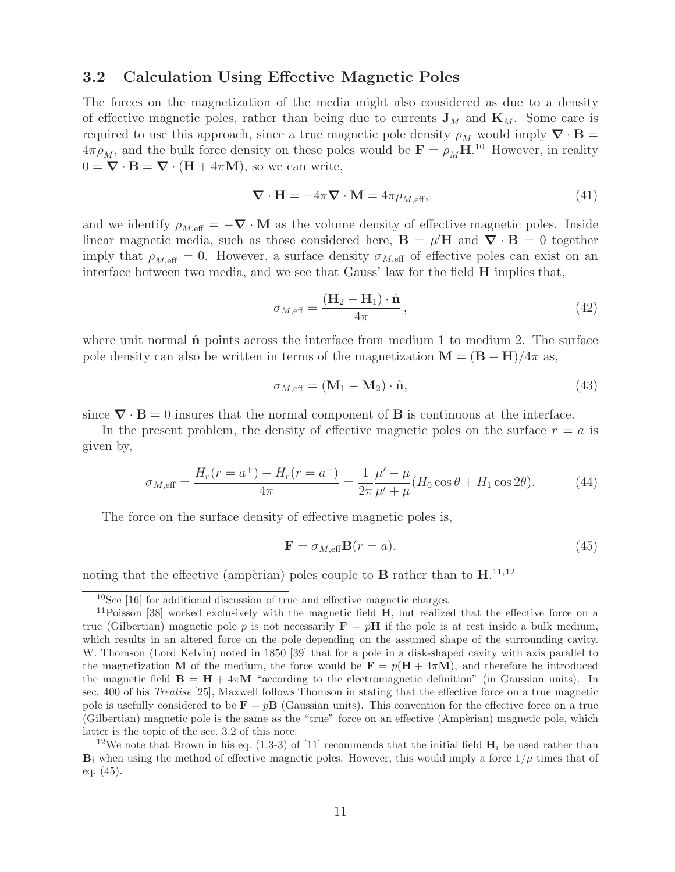#### **3.2 Calculation Using Effective Magnetic Poles**

The forces on the magnetization of the media might also considered as due to a density of effective magnetic poles, rather than being due to currents  $\mathbf{J}_M$  and  $\mathbf{K}_M$ . Some care is required to use this approach, since a true magnetic pole density  $\rho_M$  would imply  $\nabla \cdot \mathbf{B} =$  $4\pi \rho_M$ , and the bulk force density on these poles would be  $\mathbf{F} = \rho_M \mathbf{H}$ <sup>10</sup> However, in reality  $0 = \nabla \cdot \mathbf{B} = \nabla \cdot (\mathbf{H} + 4\pi \mathbf{M})$ , so we can write,

$$
\nabla \cdot \mathbf{H} = -4\pi \nabla \cdot \mathbf{M} = 4\pi \rho_{M,\text{eff}},\tag{41}
$$

and we identify  $\rho_{M,\text{eff}} = -\nabla \cdot \mathbf{M}$  as the volume density of effective magnetic poles. Inside linear magnetic media, such as those considered here,  $\mathbf{B} = \mu' \mathbf{H}$  and  $\mathbf{\nabla} \cdot \mathbf{B} = 0$  together imply that  $\rho_{M,\text{eff}} = 0$ . However, a surface density  $\sigma_{M,\text{eff}}$  of effective poles can exist on an interface between two media, and we see that Gauss' law for the field **H** implies that,

$$
\sigma_{M,\text{eff}} = \frac{(\mathbf{H}_2 - \mathbf{H}_1) \cdot \hat{\mathbf{n}}}{4\pi},\tag{42}
$$

where unit normal  $\hat{\bf{n}}$  points across the interface from medium 1 to medium 2. The surface pole density can also be written in terms of the magnetization  $\mathbf{M} = (\mathbf{B} - \mathbf{H})/4\pi$  as,

$$
\sigma_{M,\text{eff}} = (\mathbf{M}_1 - \mathbf{M}_2) \cdot \hat{\mathbf{n}},\tag{43}
$$

since  $\nabla \cdot \mathbf{B} = 0$  insures that the normal component of **B** is continuous at the interface.

In the present problem, the density of effective magnetic poles on the surface  $r = a$  is given by,

$$
\sigma_{M,\text{eff}} = \frac{H_r(r = a^+) - H_r(r = a^-)}{4\pi} = \frac{1}{2\pi} \frac{\mu' - \mu}{\mu' + \mu} (H_0 \cos \theta + H_1 \cos 2\theta). \tag{44}
$$

The force on the surface density of effective magnetic poles is,

$$
\mathbf{F} = \sigma_{M,\text{eff}} \mathbf{B}(r = a),\tag{45}
$$

noting that the effective (ampèrian) poles couple to **B** rather than to  $\mathbf{H}$ .<sup>11,12</sup>

 $10$ See [16] for additional discussion of true and effective magnetic charges.

<sup>11</sup>Poisson [38] worked exclusively with the magnetic field **H**, but realized that the effective force on a true (Gilbertian) magnetic pole p is not necessarily  $\mathbf{F} = p\mathbf{H}$  if the pole is at rest inside a bulk medium, which results in an altered force on the pole depending on the assumed shape of the surrounding cavity. W. Thomson (Lord Kelvin) noted in 1850 [39] that for a pole in a disk-shaped cavity with axis parallel to the magnetization **M** of the medium, the force would be  $\mathbf{F} = p(\mathbf{H} + 4\pi\mathbf{M})$ , and therefore he introduced the magnetic field  $\mathbf{B} = \mathbf{H} + 4\pi\mathbf{M}$  "according to the electromagnetic definition" (in Gaussian units). In sec. 400 of his *Treatise* [25], Maxwell follows Thomson in stating that the effective force on a true magnetic pole is usefully considered to be  $\mathbf{F} = p\mathbf{B}$  (Gaussian units). This convention for the effective force on a true (Gilbertian) magnetic pole is the same as the "true" force on an effective (Ampèrian) magnetic pole, which latter is the topic of the sec. 3.2 of this note.

<sup>&</sup>lt;sup>12</sup>We note that Brown in his eq. (1.3-3) of [11] recommends that the initial field  $\mathbf{H}_i$  be used rather than  $\mathbf{B}_i$  when using the method of effective magnetic poles. However, this would imply a force  $1/\mu$  times that of eq. (45).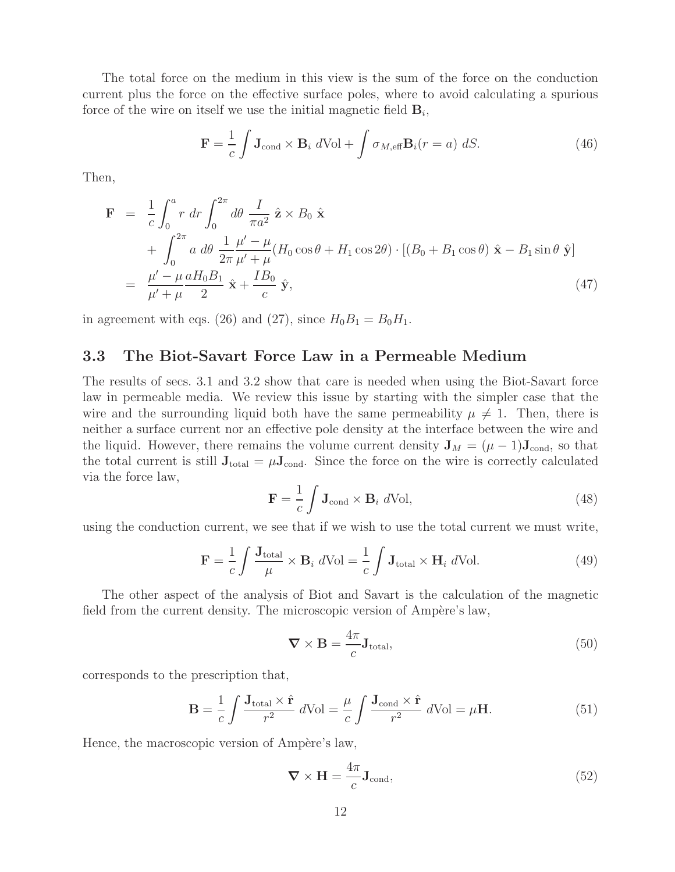The total force on the medium in this view is the sum of the force on the conduction current plus the force on the effective surface poles, where to avoid calculating a spurious force of the wire on itself we use the initial magnetic field  $\mathbf{B}_i$ ,

$$
\mathbf{F} = \frac{1}{c} \int \mathbf{J}_{\text{cond}} \times \mathbf{B}_i \ d\text{Vol} + \int \sigma_{M,\text{eff}} \mathbf{B}_i(r=a) \ dS. \tag{46}
$$

Then,

$$
\mathbf{F} = \frac{1}{c} \int_0^a r \, dr \int_0^{2\pi} d\theta \, \frac{I}{\pi a^2} \, \hat{\mathbf{z}} \times B_0 \, \hat{\mathbf{x}} \n+ \int_0^{2\pi} a \, d\theta \, \frac{1}{2\pi} \frac{\mu' - \mu}{\mu' + \mu} (H_0 \cos \theta + H_1 \cos 2\theta) \cdot [(B_0 + B_1 \cos \theta) \, \hat{\mathbf{x}} - B_1 \sin \theta \, \hat{\mathbf{y}}] \n= \frac{\mu' - \mu}{\mu' + \mu} \frac{aH_0 B_1}{2} \, \hat{\mathbf{x}} + \frac{IB_0}{c} \, \hat{\mathbf{y}},
$$
\n(47)

in agreement with eqs. (26) and (27), since  $H_0B_1 = B_0H_1$ .

#### **3.3 The Biot-Savart Force Law in a Permeable Medium**

The results of secs. 3.1 and 3.2 show that care is needed when using the Biot-Savart force law in permeable media. We review this issue by starting with the simpler case that the wire and the surrounding liquid both have the same permeability  $\mu \neq 1$ . Then, there is neither a surface current nor an effective pole density at the interface between the wire and the liquid. However, there remains the volume current density  $J_M = (\mu - 1)J_{cond}$ , so that the total current is still  $J_{total} = \mu J_{cond}$ . Since the force on the wire is correctly calculated via the force law,

$$
\mathbf{F} = \frac{1}{c} \int \mathbf{J}_{\text{cond}} \times \mathbf{B}_i \ d\text{Vol}, \tag{48}
$$

using the conduction current, we see that if we wish to use the total current we must write,

$$
\mathbf{F} = \frac{1}{c} \int \frac{\mathbf{J}_{\text{total}}}{\mu} \times \mathbf{B}_i \ d\text{Vol} = \frac{1}{c} \int \mathbf{J}_{\text{total}} \times \mathbf{H}_i \ d\text{Vol}.
$$
 (49)

The other aspect of the analysis of Biot and Savart is the calculation of the magnetic field from the current density. The microscopic version of Ampère's law,

$$
\nabla \times \mathbf{B} = \frac{4\pi}{c} \mathbf{J}_{\text{total}},\tag{50}
$$

corresponds to the prescription that,

$$
\mathbf{B} = \frac{1}{c} \int \frac{\mathbf{J}_{\text{total}} \times \hat{\mathbf{r}}}{r^2} d\text{Vol} = \frac{\mu}{c} \int \frac{\mathbf{J}_{\text{cond}} \times \hat{\mathbf{r}}}{r^2} d\text{Vol} = \mu \mathbf{H}.
$$
 (51)

Hence, the macroscopic version of Ampère's law,

$$
\nabla \times \mathbf{H} = \frac{4\pi}{c} \mathbf{J}_{\text{cond}},\tag{52}
$$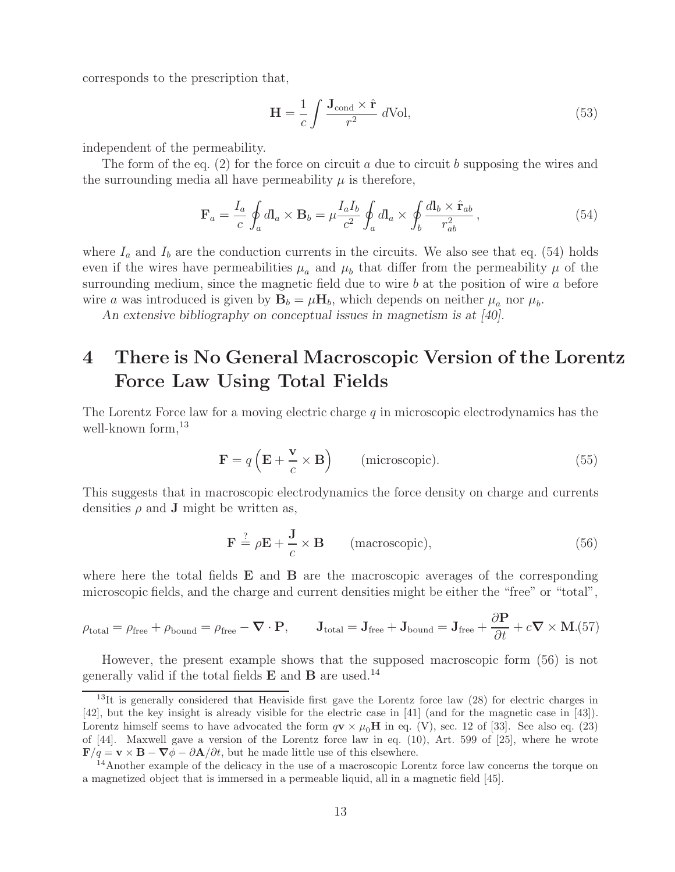corresponds to the prescription that,

$$
\mathbf{H} = \frac{1}{c} \int \frac{\mathbf{J}_{\text{cond}} \times \hat{\mathbf{r}}}{r^2} d\text{Vol},\tag{53}
$$

independent of the permeability.

The form of the eq. (2) for the force on circuit a due to circuit b supposing the wires and the surrounding media all have permeability  $\mu$  is therefore,

$$
\mathbf{F}_a = \frac{I_a}{c} \oint_a d\mathbf{l}_a \times \mathbf{B}_b = \mu \frac{I_a I_b}{c^2} \oint_a d\mathbf{l}_a \times \oint_b \frac{d\mathbf{l}_b \times \hat{\mathbf{r}}_{ab}}{r_{ab}^2},\tag{54}
$$

where  $I_a$  and  $I_b$  are the conduction currents in the circuits. We also see that eq. (54) holds even if the wires have permeabilities  $\mu_a$  and  $\mu_b$  that differ from the permeability  $\mu$  of the surrounding medium, since the magnetic field due to wire  $b$  at the position of wire  $a$  before wire a was introduced is given by  $\mathbf{B}_b = \mu \mathbf{H}_b$ , which depends on neither  $\mu_a$  nor  $\mu_b$ .

*An extensive bibliography on conceptual issues in magnetism is at [40].*

# **4 There is No General Macroscopic Version of the Lorentz Force Law Using Total Fields**

The Lorentz Force law for a moving electric charge  $q$  in microscopic electrodynamics has the well-known form,  $^{13}$ 

$$
\mathbf{F} = q\left(\mathbf{E} + \frac{\mathbf{v}}{c} \times \mathbf{B}\right) \qquad \text{(microscopic)}.
$$
 (55)

This suggests that in macroscopic electrodynamics the force density on charge and currents densities  $\rho$  and **J** might be written as,

$$
\mathbf{F} \stackrel{?}{=} \rho \mathbf{E} + \frac{\mathbf{J}}{c} \times \mathbf{B} \qquad \text{(macroscopic)},\tag{56}
$$

where here the total fields **E** and **B** are the macroscopic averages of the corresponding microscopic fields, and the charge and current densities might be either the "free" or "total",

$$
\rho_{\text{total}} = \rho_{\text{free}} + \rho_{\text{bound}} = \rho_{\text{free}} - \boldsymbol{\nabla} \cdot \mathbf{P}, \qquad \mathbf{J}_{\text{total}} = \mathbf{J}_{\text{free}} + \mathbf{J}_{\text{bound}} = \mathbf{J}_{\text{free}} + \frac{\partial \mathbf{P}}{\partial t} + c \boldsymbol{\nabla} \times \mathbf{M}. (57)
$$

However, the present example shows that the supposed macroscopic form (56) is not generally valid if the total fields **E** and **B** are used.<sup>14</sup>

 $13$ It is generally considered that Heaviside first gave the Lorentz force law (28) for electric charges in [42], but the key insight is already visible for the electric case in [41] (and for the magnetic case in [43]). Lorentz himself seems to have advocated the form  $q\mathbf{v} \times \mu_0\mathbf{H}$  in eq. (V), sec. 12 of [33]. See also eq. (23) of [44]. Maxwell gave a version of the Lorentz force law in eq. (10), Art. 599 of [25], where he wrote  $\mathbf{F}/q = \mathbf{v} \times \mathbf{B} - \nabla \phi - \partial \mathbf{A}/\partial t$ , but he made little use of this elsewhere.

<sup>&</sup>lt;sup>14</sup>Another example of the delicacy in the use of a macroscopic Lorentz force law concerns the torque on a magnetized object that is immersed in a permeable liquid, all in a magnetic field [45].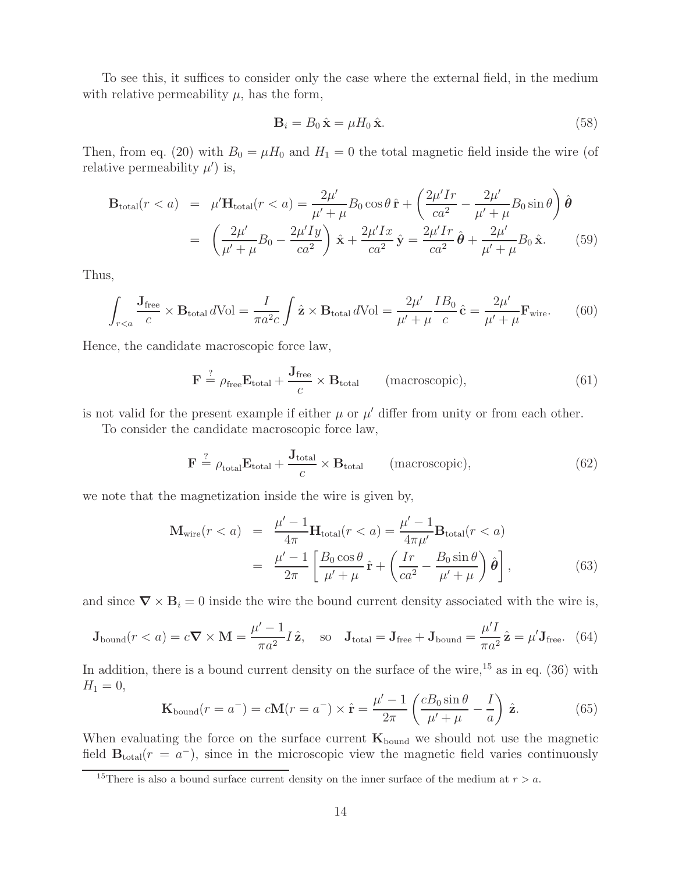To see this, it suffices to consider only the case where the external field, in the medium with relative permeability  $\mu$ , has the form,

$$
\mathbf{B}_i = B_0 \,\hat{\mathbf{x}} = \mu H_0 \,\hat{\mathbf{x}}.\tag{58}
$$

Then, from eq. (20) with  $B_0 = \mu H_0$  and  $H_1 = 0$  the total magnetic field inside the wire (of relative permeability  $\mu'$ ) is,

$$
\mathbf{B}_{\text{total}}(r < a) = \mu' \mathbf{H}_{\text{total}}(r < a) = \frac{2\mu'}{\mu' + \mu} B_0 \cos \theta \, \hat{\mathbf{r}} + \left(\frac{2\mu' Ir}{ca^2} - \frac{2\mu'}{\mu' + \mu} B_0 \sin \theta\right) \hat{\boldsymbol{\theta}}
$$
\n
$$
= \left(\frac{2\mu'}{\mu' + \mu} B_0 - \frac{2\mu' I y}{ca^2}\right) \hat{\mathbf{x}} + \frac{2\mu' I x}{ca^2} \hat{\mathbf{y}} = \frac{2\mu' Ir}{ca^2} \hat{\boldsymbol{\theta}} + \frac{2\mu'}{\mu' + \mu} B_0 \hat{\mathbf{x}}.\tag{59}
$$

Thus,

$$
\int_{r (60)
$$

Hence, the candidate macroscopic force law,

$$
\mathbf{F} \stackrel{?}{=} \rho_{\text{free}} \mathbf{E}_{\text{total}} + \frac{\mathbf{J}_{\text{free}}}{c} \times \mathbf{B}_{\text{total}} \qquad (\text{macroscopic}), \tag{61}
$$

is not valid for the present example if either  $\mu$  or  $\mu'$  differ from unity or from each other.

To consider the candidate macroscopic force law,

$$
\mathbf{F} \stackrel{?}{=} \rho_{\text{total}} \mathbf{E}_{\text{total}} + \frac{\mathbf{J}_{\text{total}}}{c} \times \mathbf{B}_{\text{total}} \qquad (\text{macroscopic}), \tag{62}
$$

we note that the magnetization inside the wire is given by,

$$
\mathbf{M}_{\text{wire}}(r < a) = \frac{\mu' - 1}{4\pi} \mathbf{H}_{\text{total}}(r < a) = \frac{\mu' - 1}{4\pi \mu'} \mathbf{B}_{\text{total}}(r < a)
$$
\n
$$
= \frac{\mu' - 1}{2\pi} \left[ \frac{B_0 \cos \theta}{\mu' + \mu} \hat{\mathbf{r}} + \left( \frac{Ir}{ca^2} - \frac{B_0 \sin \theta}{\mu' + \mu} \right) \hat{\boldsymbol{\theta}} \right],\tag{63}
$$

and since  $\nabla \times \mathbf{B}_i = 0$  inside the wire the bound current density associated with the wire is,

$$
\mathbf{J}_{\text{bound}}(r < a) = c \nabla \times \mathbf{M} = \frac{\mu' - 1}{\pi a^2} I \hat{\mathbf{z}}, \quad \text{so} \quad \mathbf{J}_{\text{total}} = \mathbf{J}_{\text{free}} + \mathbf{J}_{\text{bound}} = \frac{\mu' I}{\pi a^2} \hat{\mathbf{z}} = \mu' \mathbf{J}_{\text{free}}. \tag{64}
$$

In addition, there is a bound current density on the surface of the wire,  $^{15}$  as in eq. (36) with  $H_1 = 0,$ 

$$
\mathbf{K}_{\text{bound}}(r = a^{-}) = c\mathbf{M}(r = a^{-}) \times \hat{\mathbf{r}} = \frac{\mu' - 1}{2\pi} \left( \frac{cB_0 \sin \theta}{\mu' + \mu} - \frac{I}{a} \right) \hat{\mathbf{z}}.
$$
 (65)

When evaluating the force on the surface current  $\mathbf{K}_{\text{bound}}$  we should not use the magnetic field  $\mathbf{B}_{\text{total}}(r = a^{-})$ , since in the microscopic view the magnetic field varies continuously

<sup>&</sup>lt;sup>15</sup>There is also a bound surface current density on the inner surface of the medium at  $r > a$ .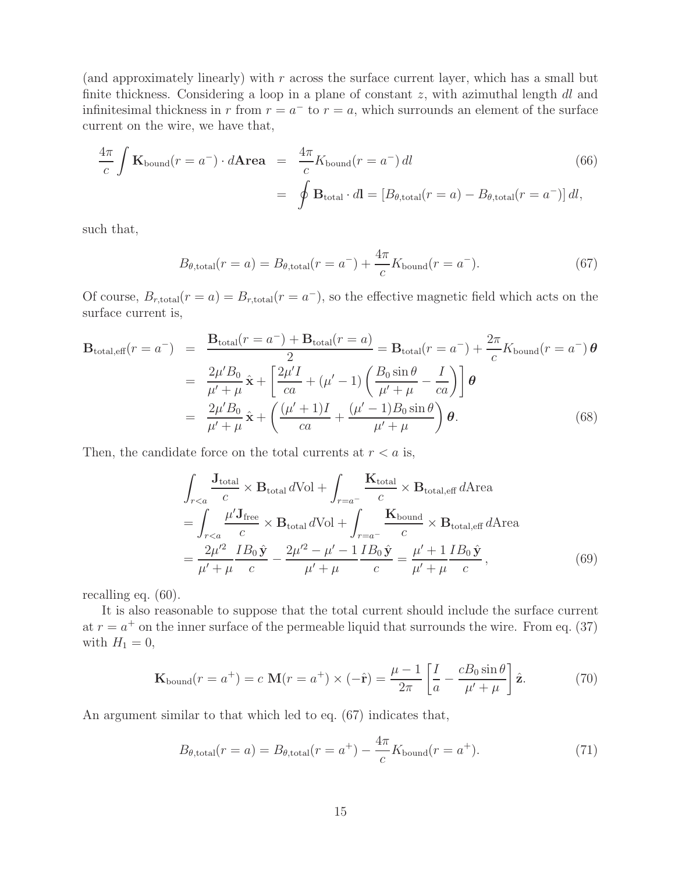(and approximately linearly) with  $r$  across the surface current layer, which has a small but finite thickness. Considering a loop in a plane of constant  $z$ , with azimuthal length  $dl$  and infinitesimal thickness in r from  $r = a^-$  to  $r = a$ , which surrounds an element of the surface current on the wire, we have that,

$$
\frac{4\pi}{c} \int \mathbf{K}_{\text{bound}}(r = a^{-}) \cdot d\mathbf{Area} = \frac{4\pi}{c} K_{\text{bound}}(r = a^{-}) dl
$$
\n
$$
= \oint \mathbf{B}_{\text{total}} \cdot d\mathbf{l} = [B_{\theta, \text{total}}(r = a) - B_{\theta, \text{total}}(r = a^{-})] dl,
$$
\n(66)

such that,

$$
B_{\theta, \text{total}}(r=a) = B_{\theta, \text{total}}(r=a^{-}) + \frac{4\pi}{c} K_{\text{bound}}(r=a^{-}).
$$
\n(67)

Of course,  $B_{r,\text{total}}(r = a) = B_{r,\text{total}}(r = a^{-})$ , so the effective magnetic field which acts on the surface current is,

$$
\mathbf{B}_{\text{total,eff}}(r = a^{-}) = \frac{\mathbf{B}_{\text{total}}(r = a^{-}) + \mathbf{B}_{\text{total}}(r = a)}{2} = \mathbf{B}_{\text{total}}(r = a^{-}) + \frac{2\pi}{c} K_{\text{bound}}(r = a^{-}) \boldsymbol{\theta}
$$

$$
= \frac{2\mu' B_{0}}{\mu' + \mu} \hat{\mathbf{x}} + \left[ \frac{2\mu' I}{ca} + (\mu' - 1) \left( \frac{B_{0} \sin \theta}{\mu' + \mu} - \frac{I}{ca} \right) \right] \boldsymbol{\theta}
$$

$$
= \frac{2\mu' B_{0}}{\mu' + \mu} \hat{\mathbf{x}} + \left( \frac{(\mu' + 1)I}{ca} + \frac{(\mu' - 1)B_{0} \sin \theta}{\mu' + \mu} \right) \boldsymbol{\theta}. \tag{68}
$$

Then, the candidate force on the total currents at  $r < a$  is,

$$
\int_{r\n
$$
= \int_{r\n
$$
= \frac{2\mu'^2}{\mu' + \mu} \frac{IB_0 \hat{\mathbf{y}}}{c} - \frac{2\mu'^2 - \mu' - 1}{\mu' + \mu} \frac{IB_0 \hat{\mathbf{y}}}{c} = \frac{\mu' + 1}{\mu' + \mu} \frac{IB_0 \hat{\mathbf{y}}}{c},\tag{69}
$$
$$
$$

recalling eq. (60).

It is also reasonable to suppose that the total current should include the surface current at  $r = a^+$  on the inner surface of the permeable liquid that surrounds the wire. From eq. (37) with  $H_1 = 0$ ,

$$
\mathbf{K}_{\text{bound}}(r = a^+) = c \mathbf{M}(r = a^+) \times (-\hat{\mathbf{r}}) = \frac{\mu - 1}{2\pi} \left[ \frac{I}{a} - \frac{cB_0 \sin \theta}{\mu' + \mu} \right] \hat{\mathbf{z}}.
$$
 (70)

An argument similar to that which led to eq. (67) indicates that,

$$
B_{\theta, \text{total}}(r=a) = B_{\theta, \text{total}}(r=a^+) - \frac{4\pi}{c} K_{\text{bound}}(r=a^+). \tag{71}
$$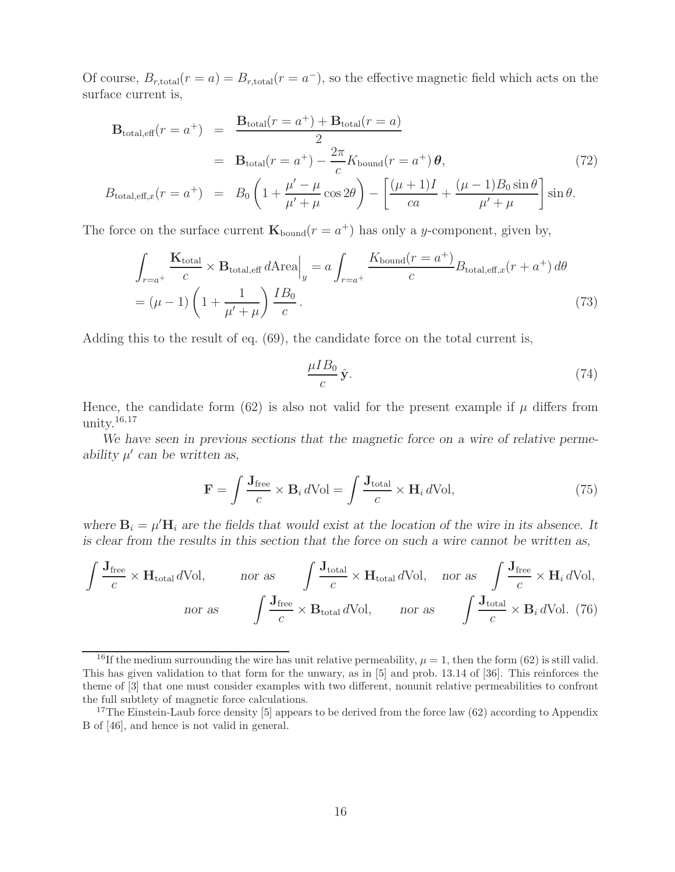Of course,  $B_{r,\text{total}}(r = a) = B_{r,\text{total}}(r = a^{-})$ , so the effective magnetic field which acts on the surface current is,

$$
\mathbf{B}_{\text{total,eff}}(r = a^{+}) = \frac{\mathbf{B}_{\text{total}}(r = a^{+}) + \mathbf{B}_{\text{total}}(r = a)}{2}
$$
  
=  $\mathbf{B}_{\text{total}}(r = a^{+}) - \frac{2\pi}{c} K_{\text{bound}}(r = a^{+}) \boldsymbol{\theta},$  (72)  

$$
B_{\text{total,eff},x}(r = a^{+}) = B_{0} \left( 1 + \frac{\mu' - \mu}{\mu' + \mu} \cos 2\theta \right) - \left[ \frac{(\mu + 1)I}{ca} + \frac{(\mu - 1)B_{0} \sin \theta}{\mu' + \mu} \right] \sin \theta.
$$

The force on the surface current  $\mathbf{K}_{\text{bound}}(r = a^+)$  has only a y-component, given by,

$$
\int_{r=a^{+}} \frac{\mathbf{K}_{\text{total}}}{c} \times \mathbf{B}_{\text{total,eff}} d\text{Area}\Big|_{y} = a \int_{r=a^{+}} \frac{K_{\text{bound}}(r=a^{+})}{c} B_{\text{total,eff},x}(r+a^{+}) d\theta
$$
\n
$$
= (\mu - 1) \left(1 + \frac{1}{\mu' + \mu}\right) \frac{IB_{0}}{c}.
$$
\n(73)

Adding this to the result of eq. (69), the candidate force on the total current is,

$$
\frac{\mu I B_0}{c} \hat{\mathbf{y}}.\tag{74}
$$

Hence, the candidate form (62) is also not valid for the present example if  $\mu$  differs from unity. $16,17$ 

*We have seen in previous sections that the magnetic force on a wire of relative perme* $a$ *bility*  $\mu'$  can be written as,

$$
\mathbf{F} = \int \frac{\mathbf{J}_{\text{free}}}{c} \times \mathbf{B}_i \, d\text{Vol} = \int \frac{\mathbf{J}_{\text{total}}}{c} \times \mathbf{H}_i \, d\text{Vol},\tag{75}
$$

where  $\mathbf{B}_i = \mu' \mathbf{H}_i$  are the fields that would exist at the location of the wire in its absence. It *is clear from the results in this section that the force on such a wire cannot be written as,*

$$
\int \frac{\mathbf{J}_{\text{free}}}{c} \times \mathbf{H}_{\text{total}} d\text{Vol}, \quad \text{nor as} \quad \int \frac{\mathbf{J}_{\text{total}}}{c} \times \mathbf{H}_{\text{total}} d\text{Vol}, \quad \text{nor as} \quad \int \frac{\mathbf{J}_{\text{free}}}{c} \times \mathbf{H}_{i} d\text{Vol},
$$
\n
$$
\text{nor as} \quad \int \frac{\mathbf{J}_{\text{free}}}{c} \times \mathbf{B}_{\text{total}} d\text{Vol}, \quad \text{nor as} \quad \int \frac{\mathbf{J}_{\text{total}}}{c} \times \mathbf{B}_{i} d\text{Vol}. \quad (76)
$$

<sup>&</sup>lt;sup>16</sup>If the medium surrounding the wire has unit relative permeability,  $\mu = 1$ , then the form (62) is still valid. This has given validation to that form for the unwary, as in [5] and prob. 13.14 of [36]. This reinforces the theme of [3] that one must consider examples with two different, nonunit relative permeabilities to confront the full subtlety of magnetic force calculations.

<sup>&</sup>lt;sup>17</sup>The Einstein-Laub force density [5] appears to be derived from the force law (62) according to Appendix B of [46], and hence is not valid in general.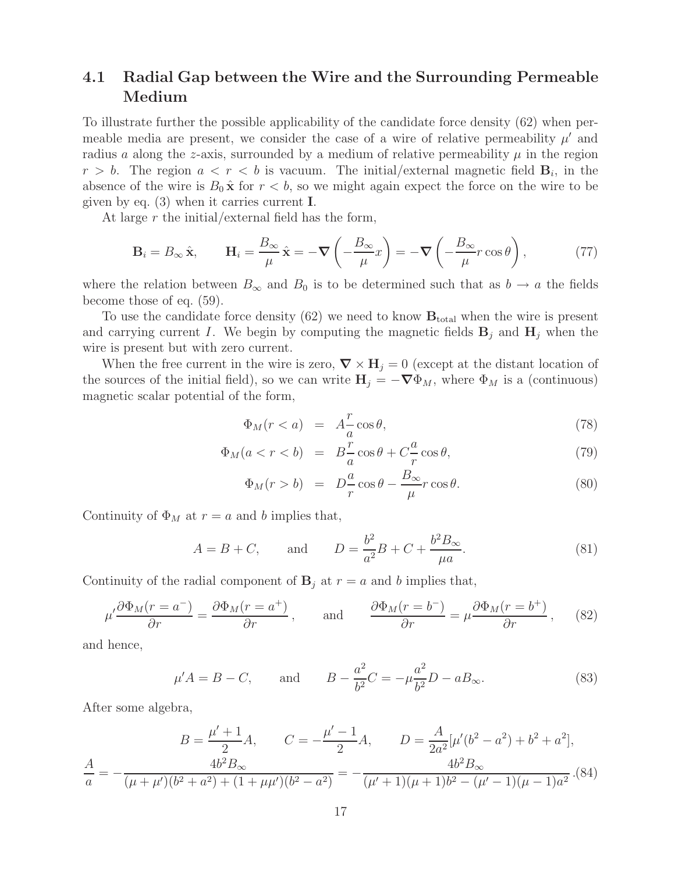### **4.1 Radial Gap between the Wire and the Surrounding Permeable Medium**

To illustrate further the possible applicability of the candidate force density (62) when permeable media are present, we consider the case of a wire of relative permeability  $\mu'$  and radius a along the z-axis, surrounded by a medium of relative permeability  $\mu$  in the region  $r > b$ . The region  $a < r < b$  is vacuum. The initial/external magnetic field  $B_i$ , in the absence of the wire is  $B_0 \hat{\mathbf{x}}$  for  $r < b$ , so we might again expect the force on the wire to be given by eq. (3) when it carries current **I**.

At large r the initial/external field has the form,

$$
\mathbf{B}_{i} = B_{\infty} \hat{\mathbf{x}}, \qquad \mathbf{H}_{i} = \frac{B_{\infty}}{\mu} \hat{\mathbf{x}} = -\nabla \left( -\frac{B_{\infty}}{\mu} x \right) = -\nabla \left( -\frac{B_{\infty}}{\mu} r \cos \theta \right), \tag{77}
$$

where the relation between  $B_{\infty}$  and  $B_0$  is to be determined such that as  $b \to a$  the fields become those of eq. (59).

To use the candidate force density  $(62)$  we need to know  $\mathbf{B}_{\text{total}}$  when the wire is present and carrying current I. We begin by computing the magnetic fields  $\mathbf{B}_i$  and  $\mathbf{H}_j$  when the wire is present but with zero current.

When the free current in the wire is zero,  $\nabla \times \mathbf{H}_j = 0$  (except at the distant location of the sources of the initial field), so we can write  $\mathbf{H}_j = -\nabla \Phi_M$ , where  $\Phi_M$  is a (continuous) magnetic scalar potential of the form,

$$
\Phi_M(r < a) = A \frac{r}{a} \cos \theta,\tag{78}
$$

$$
\Phi_M(a < r < b) = B\frac{r}{a}\cos\theta + C\frac{a}{r}\cos\theta,\tag{79}
$$

$$
\Phi_M(r > b) = D\frac{a}{r}\cos\theta - \frac{B_{\infty}}{\mu}r\cos\theta.
$$
\n(80)

Continuity of  $\Phi_M$  at  $r = a$  and b implies that,

$$
A = B + C
$$
, and  $D = \frac{b^2}{a^2}B + C + \frac{b^2 B_{\infty}}{\mu a}$ . (81)

Continuity of the radial component of  $\mathbf{B}_j$  at  $r = a$  and b implies that,

$$
\mu' \frac{\partial \Phi_M(r = a^-)}{\partial r} = \frac{\partial \Phi_M(r = a^+)}{\partial r}, \quad \text{and} \quad \frac{\partial \Phi_M(r = b^-)}{\partial r} = \mu \frac{\partial \Phi_M(r = b^+)}{\partial r}, \quad (82)
$$

and hence,

$$
\mu' A = B - C
$$
, and  $B - \frac{a^2}{b^2}C = -\mu \frac{a^2}{b^2}D - aB_{\infty}$ . (83)

After some algebra,

$$
B = \frac{\mu' + 1}{2}A, \qquad C = -\frac{\mu' - 1}{2}A, \qquad D = \frac{A}{2a^2}[\mu'(b^2 - a^2) + b^2 + a^2],
$$
  

$$
\frac{A}{a} = -\frac{4b^2B_{\infty}}{(\mu + \mu')(b^2 + a^2) + (1 + \mu\mu')(b^2 - a^2)} = -\frac{4b^2B_{\infty}}{(\mu' + 1)(\mu + 1)b^2 - (\mu' - 1)(\mu - 1)a^2}.
$$
(84)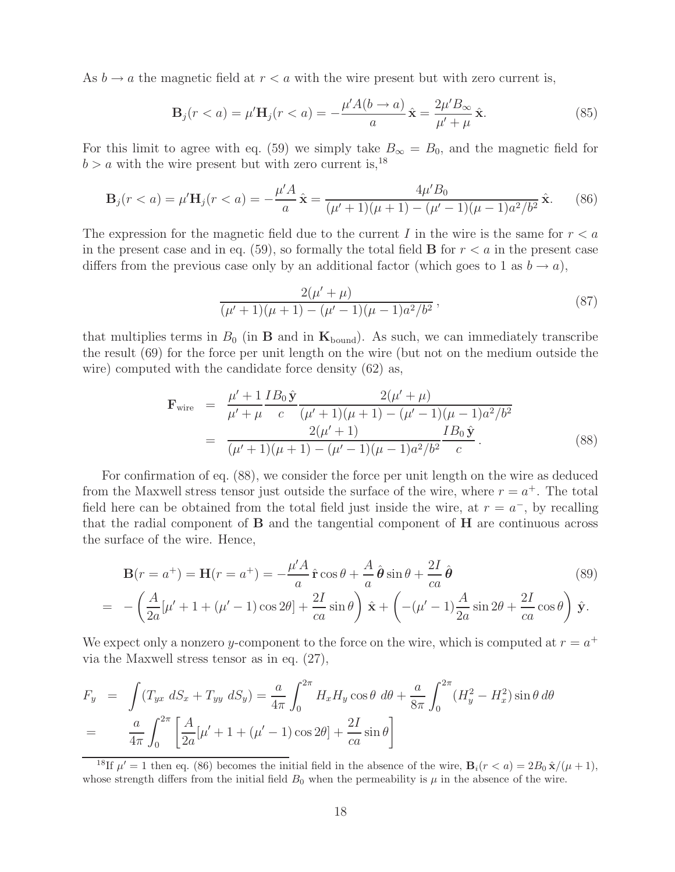As  $b \to a$  the magnetic field at  $r < a$  with the wire present but with zero current is,

$$
\mathbf{B}_{j}(r < a) = \mu' \mathbf{H}_{j}(r < a) = -\frac{\mu' A(b \to a)}{a} \hat{\mathbf{x}} = \frac{2\mu' B_{\infty}}{\mu' + \mu} \hat{\mathbf{x}}.
$$
 (85)

For this limit to agree with eq. (59) we simply take  $B_{\infty} = B_0$ , and the magnetic field for  $b > a$  with the wire present but with zero current is,<sup>18</sup>

$$
\mathbf{B}_{j}(r < a) = \mu' \mathbf{H}_{j}(r < a) = -\frac{\mu' A}{a} \hat{\mathbf{x}} = \frac{4\mu' B_{0}}{(\mu' + 1)(\mu + 1) - (\mu' - 1)(\mu - 1)a^{2}/b^{2}} \hat{\mathbf{x}}.
$$
 (86)

The expression for the magnetic field due to the current I in the wire is the same for  $r < a$ in the present case and in eq.  $(59)$ , so formally the total field **B** for  $r < a$  in the present case differs from the previous case only by an additional factor (which goes to 1 as  $b \to a$ ),

$$
\frac{2(\mu'+\mu)}{(\mu'+1)(\mu+1) - (\mu'-1)(\mu-1)a^2/b^2},
$$
\n(87)

that multiplies terms in  $B_0$  (in **B** and in  $\mathbf{K}_{\text{bound}}$ ). As such, we can immediately transcribe the result (69) for the force per unit length on the wire (but not on the medium outside the wire) computed with the candidate force density (62) as,

$$
\mathbf{F}_{\text{wire}} = \frac{\mu' + 1}{\mu' + \mu} \frac{IB_0 \hat{\mathbf{y}}}{c} \frac{2(\mu' + \mu)}{(\mu' + 1)(\mu + 1) - (\mu' - 1)(\mu - 1)a^2/b^2}
$$
\n
$$
= \frac{2(\mu' + 1)}{(\mu' + 1)(\mu + 1) - (\mu' - 1)(\mu - 1)a^2/b^2} \frac{IB_0 \hat{\mathbf{y}}}{c} . \tag{88}
$$

For confirmation of eq. (88), we consider the force per unit length on the wire as deduced from the Maxwell stress tensor just outside the surface of the wire, where  $r = a^+$ . The total field here can be obtained from the total field just inside the wire, at  $r = a^{-}$ , by recalling that the radial component of **B** and the tangential component of **H** are continuous across the surface of the wire. Hence,

$$
\mathbf{B}(r = a^{+}) = \mathbf{H}(r = a^{+}) = -\frac{\mu'A}{a}\hat{\mathbf{r}}\cos\theta + \frac{A}{a}\hat{\boldsymbol{\theta}}\sin\theta + \frac{2I}{ca}\hat{\boldsymbol{\theta}} \tag{89}
$$
\n
$$
= -\left(\frac{A}{2a}[\mu' + 1 + (\mu' - 1)\cos 2\theta] + \frac{2I}{ca}\sin\theta\right)\hat{\mathbf{x}} + \left(-(\mu' - 1)\frac{A}{2a}\sin 2\theta + \frac{2I}{ca}\cos\theta\right)\hat{\mathbf{y}}.
$$

We expect only a nonzero y-component to the force on the wire, which is computed at  $r = a^+$ via the Maxwell stress tensor as in eq. (27),

$$
F_y = \int (T_{yx} dS_x + T_{yy} dS_y) = \frac{a}{4\pi} \int_0^{2\pi} H_x H_y \cos\theta d\theta + \frac{a}{8\pi} \int_0^{2\pi} (H_y^2 - H_x^2) \sin\theta d\theta
$$
  
= 
$$
\frac{a}{4\pi} \int_0^{2\pi} \left[ \frac{A}{2a} [\mu' + 1 + (\mu' - 1) \cos 2\theta] + \frac{2I}{ca} \sin\theta \right]
$$

<sup>18</sup>If  $\mu' = 1$  then eq. (86) becomes the initial field in the absence of the wire,  $\mathbf{B}_i(r < a) = 2B_0 \hat{\mathbf{x}}/(\mu + 1)$ , whose strength differs from the initial field  $B_0$  when the permeability is  $\mu$  in the absence of the wire.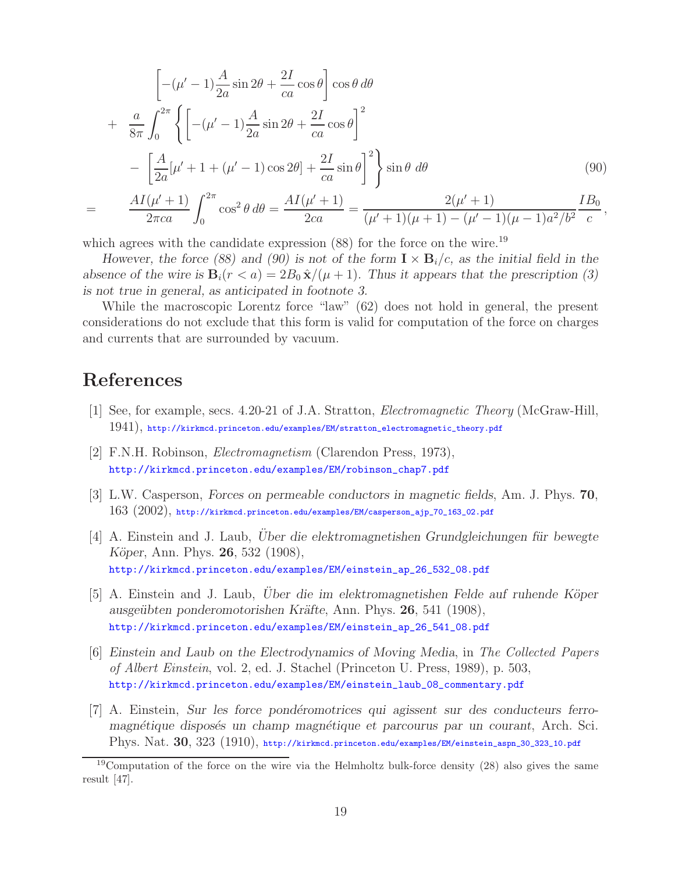$$
\left[ -(\mu' - 1) \frac{A}{2a} \sin 2\theta + \frac{2I}{ca} \cos \theta \right] \cos \theta d\theta + \frac{a}{8\pi} \int_0^{2\pi} \left\{ \left[ -(\mu' - 1) \frac{A}{2a} \sin 2\theta + \frac{2I}{ca} \cos \theta \right]^2 \right. - \left[ \frac{A}{2a} [\mu' + 1 + (\mu' - 1) \cos 2\theta] + \frac{2I}{ca} \sin \theta \right]^2 \right\} \sin \theta d\theta = \frac{AI(\mu' + 1)}{2\pi ca} \int_0^{2\pi} \cos^2 \theta d\theta = \frac{AI(\mu' + 1)}{2ca} = \frac{2(\mu' + 1)}{(\mu' + 1)(\mu + 1) - (\mu' - 1)(\mu - 1)a^2/b^2} \frac{IB_0}{c},
$$

which agrees with the candidate expression  $(88)$  for the force on the wire.<sup>19</sup>

*However, the force (88) and (90) is not of the form*  $\mathbf{I} \times \mathbf{B}_i/c$ , as the initial field in the *absence of the wire is*  $\mathbf{B}_i(r < a) = 2B_0 \hat{\mathbf{x}}/(\mu + 1)$ *. Thus it appears that the prescription (3) is not true in general, as anticipated in footnote 3.*

While the macroscopic Lorentz force "law" (62) does not hold in general, the present considerations do not exclude that this form is valid for computation of the force on charges and currents that are surrounded by vacuum.

## **References**

- [1] See, for example, secs. 4.20-21 of J.A. Stratton, *Electromagnetic Theory* (McGraw-Hill, 1941), http://kirkmcd.princeton.edu/examples/EM/stratton\_electromagnetic\_theory.pdf
- [2] F.N.H. Robinson, *Electromagnetism* (Clarendon Press, 1973), http://kirkmcd.princeton.edu/examples/EM/robinson\_chap7.pdf
- [3] L.W. Casperson, *Forces on permeable conductors in magnetic fields*, Am. J. Phys. **70**, 163 (2002), http://kirkmcd.princeton.edu/examples/EM/casperson\_ajp\_70\_163\_02.pdf
- [4] A. Einstein and J. Laub, *Uber die elektromagnetishen Grundgleichungen für bewegte K¨oper*, Ann. Phys. **26**, 532 (1908), http://kirkmcd.princeton.edu/examples/EM/einstein\_ap\_26\_532\_08.pdf
- [5] A. Einstein and J. Laub, *Uber die im elektromagnetishen Felde auf ruhende Köper ausge¨ubten ponderomotorishen Kr¨afte*, Ann. Phys. **26**, 541 (1908), http://kirkmcd.princeton.edu/examples/EM/einstein\_ap\_26\_541\_08.pdf
- [6] *Einstein and Laub on the Electrodynamics of Moving Media*, in *The Collected Papers of Albert Einstein*, vol. 2, ed. J. Stachel (Princeton U. Press, 1989), p. 503, http://kirkmcd.princeton.edu/examples/EM/einstein\_laub\_08\_commentary.pdf
- [7] A. Einstein, *Sur les force pond´eromotrices qui agissent sur des conducteurs ferromagnétique disposés un champ magnétique et parcourus par un courant*, Arch. Sci. Phys. Nat. **30**, 323 (1910), http://kirkmcd.princeton.edu/examples/EM/einstein\_aspn\_30\_323\_10.pdf

 $19$ Computation of the force on the wire via the Helmholtz bulk-force density (28) also gives the same result [47].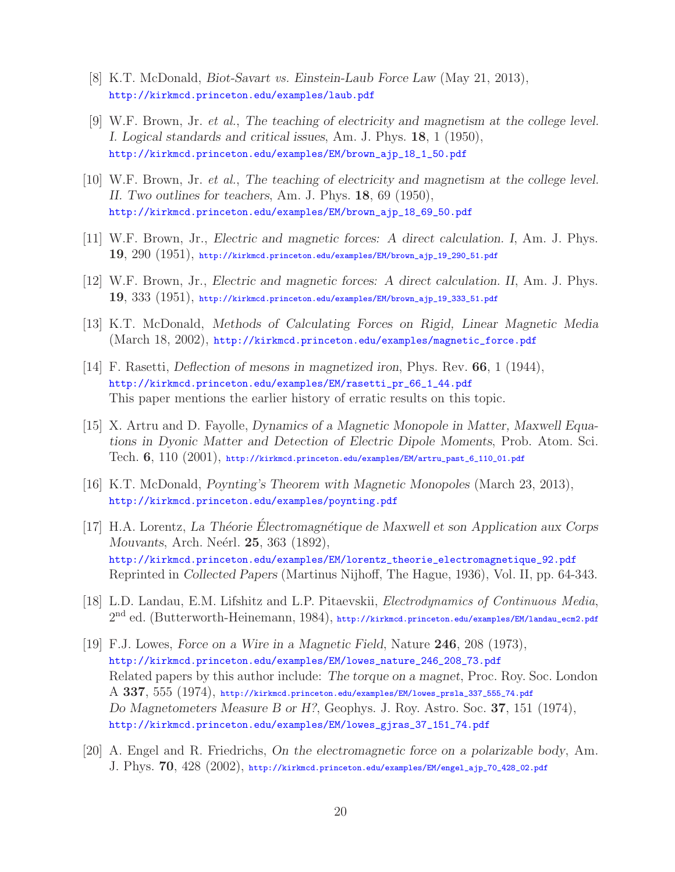- [8] K.T. McDonald, *Biot-Savart vs. Einstein-Laub Force Law* (May 21, 2013), http://kirkmcd.princeton.edu/examples/laub.pdf
- [9] W.F. Brown, Jr. *et al.*, *The teaching of electricity and magnetism at the college level. I. Logical standards and critical issues*, Am. J. Phys. **18**, 1 (1950), http://kirkmcd.princeton.edu/examples/EM/brown\_ajp\_18\_1\_50.pdf
- [10] W.F. Brown, Jr. *et al.*, *The teaching of electricity and magnetism at the college level. II. Two outlines for teachers*, Am. J. Phys. **18**, 69 (1950), http://kirkmcd.princeton.edu/examples/EM/brown\_ajp\_18\_69\_50.pdf
- [11] W.F. Brown, Jr., *Electric and magnetic forces: A direct calculation. I*, Am. J. Phys. **19**, 290 (1951), http://kirkmcd.princeton.edu/examples/EM/brown\_ajp\_19\_290\_51.pdf
- [12] W.F. Brown, Jr., *Electric and magnetic forces: A direct calculation. II*, Am. J. Phys. **19**, 333 (1951), http://kirkmcd.princeton.edu/examples/EM/brown\_ajp\_19\_333\_51.pdf
- [13] K.T. McDonald, *Methods of Calculating Forces on Rigid, Linear Magnetic Media* (March 18, 2002), http://kirkmcd.princeton.edu/examples/magnetic\_force.pdf
- [14] F. Rasetti, *Deflection of mesons in magnetized iron*, Phys. Rev. **66**, 1 (1944), http://kirkmcd.princeton.edu/examples/EM/rasetti\_pr\_66\_1\_44.pdf This paper mentions the earlier history of erratic results on this topic.
- [15] X. Artru and D. Fayolle, *Dynamics of a Magnetic Monopole in Matter, Maxwell Equations in Dyonic Matter and Detection of Electric Dipole Moments*, Prob. Atom. Sci. Tech. **6**, 110 (2001), http://kirkmcd.princeton.edu/examples/EM/artru\_past\_6\_110\_01.pdf
- [16] K.T. McDonald, *Poynting's Theorem with Magnetic Monopoles* (March 23, 2013), http://kirkmcd.princeton.edu/examples/poynting.pdf
- [17] H.A. Lorentz, *La Théorie Électromagnétique de Maxwell et son Application aux Corps Mouvants*, Arch. Neérl. **25**, 363 (1892), http://kirkmcd.princeton.edu/examples/EM/lorentz\_theorie\_electromagnetique\_92.pdf Reprinted in *Collected Papers* (Martinus Nijhoff, The Hague, 1936), Vol. II, pp. 64-343.
- [18] L.D. Landau, E.M. Lifshitz and L.P. Pitaevskii, *Electrodynamics of Continuous Media*, 2nd ed. (Butterworth-Heinemann, 1984), http://kirkmcd.princeton.edu/examples/EM/landau\_ecm2.pdf
- [19] F.J. Lowes, *Force on a Wire in a Magnetic Field*, Nature **246**, 208 (1973), http://kirkmcd.princeton.edu/examples/EM/lowes\_nature\_246\_208\_73.pdf Related papers by this author include: *The torque on a magnet*, Proc. Roy. Soc. London A **337**, 555 (1974), http://kirkmcd.princeton.edu/examples/EM/lowes\_prsla\_337\_555\_74.pdf *Do Magnetometers Measure B or H?*, Geophys. J. Roy. Astro. Soc. **37**, 151 (1974), http://kirkmcd.princeton.edu/examples/EM/lowes\_gjras\_37\_151\_74.pdf
- [20] A. Engel and R. Friedrichs, *On the electromagnetic force on a polarizable body*, Am. J. Phys. **70**, 428 (2002), http://kirkmcd.princeton.edu/examples/EM/engel\_ajp\_70\_428\_02.pdf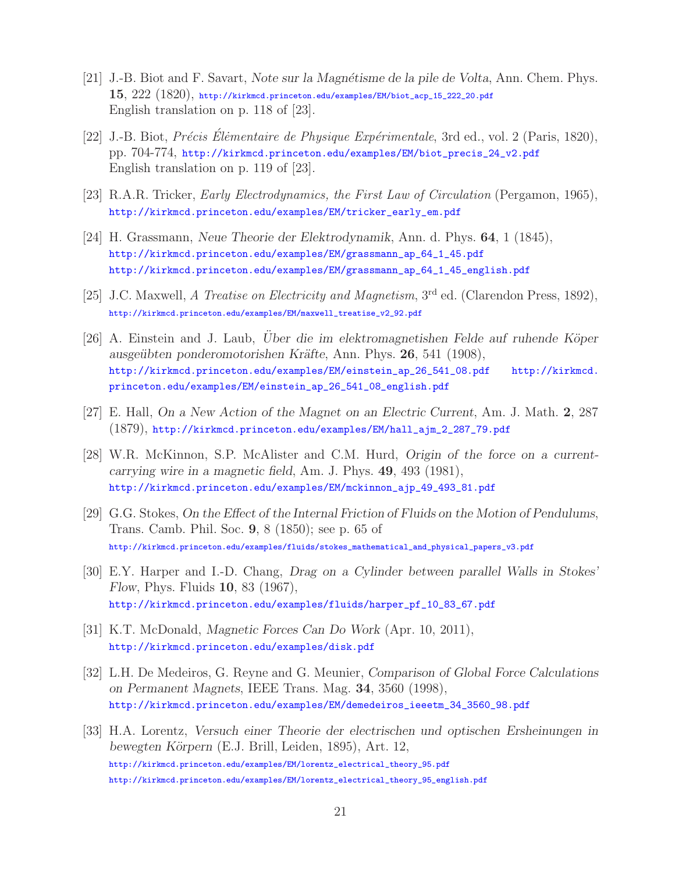- [21] J.-B. Biot and F. Savart, *Note sur la Magn´etisme de la pile de Volta*, Ann. Chem. Phys. **15**, 222 (1820), http://kirkmcd.princeton.edu/examples/EM/biot\_acp\_15\_222\_20.pdf English translation on p. 118 of [23].
- [22] J.-B. Biot, *Précis Élèmentaire de Physique Expérimentale*, 3rd ed., vol. 2 (Paris, 1820), pp. 704-774, http://kirkmcd.princeton.edu/examples/EM/biot\_precis\_24\_v2.pdf English translation on p. 119 of [23].
- [23] R.A.R. Tricker, *Early Electrodynamics, the First Law of Circulation* (Pergamon, 1965), http://kirkmcd.princeton.edu/examples/EM/tricker\_early\_em.pdf
- [24] H. Grassmann, *Neue Theorie der Elektrodynamik*, Ann. d. Phys. **64**, 1 (1845), http://kirkmcd.princeton.edu/examples/EM/grassmann\_ap\_64\_1\_45.pdf http://kirkmcd.princeton.edu/examples/EM/grassmann\_ap\_64\_1\_45\_english.pdf
- [25] J.C. Maxwell, *A Treatise on Electricity and Magnetism*, 3rd ed. (Clarendon Press, 1892), http://kirkmcd.princeton.edu/examples/EM/maxwell\_treatise\_v2\_92.pdf
- [26] A. Einstein and J. Laub, *Uber die im elektromagnetishen Felde auf ruhende Köper ausge¨ubten ponderomotorishen Kr¨afte*, Ann. Phys. **26**, 541 (1908), http://kirkmcd.princeton.edu/examples/EM/einstein\_ap\_26\_541\_08.pdf http://kirkmcd. princeton.edu/examples/EM/einstein\_ap\_26\_541\_08\_english.pdf
- [27] E. Hall, *On a New Action of the Magnet on an Electric Current*, Am. J. Math. **2**, 287 (1879), http://kirkmcd.princeton.edu/examples/EM/hall\_ajm\_2\_287\_79.pdf
- [28] W.R. McKinnon, S.P. McAlister and C.M. Hurd, *Origin of the force on a currentcarrying wire in a magnetic field*, Am. J. Phys. **49**, 493 (1981), http://kirkmcd.princeton.edu/examples/EM/mckinnon\_ajp\_49\_493\_81.pdf
- [29] G.G. Stokes, *On the Effect of the Internal Friction of Fluids on the Motion of Pendulums*, Trans. Camb. Phil. Soc. **9**, 8 (1850); see p. 65 of http://kirkmcd.princeton.edu/examples/fluids/stokes\_mathematical\_and\_physical\_papers\_v3.pdf
- [30] E.Y. Harper and I.-D. Chang, *Drag on a Cylinder between parallel Walls in Stokes' Flow*, Phys. Fluids **10**, 83 (1967), http://kirkmcd.princeton.edu/examples/fluids/harper\_pf\_10\_83\_67.pdf
- [31] K.T. McDonald, *Magnetic Forces Can Do Work* (Apr. 10, 2011), http://kirkmcd.princeton.edu/examples/disk.pdf
- [32] L.H. De Medeiros, G. Reyne and G. Meunier, *Comparison of Global Force Calculations on Permanent Magnets*, IEEE Trans. Mag. **34**, 3560 (1998), http://kirkmcd.princeton.edu/examples/EM/demedeiros\_ieeetm\_34\_3560\_98.pdf
- [33] H.A. Lorentz, *Versuch einer Theorie der electrischen und optischen Ersheinungen in bewegten K¨orpern* (E.J. Brill, Leiden, 1895), Art. 12, http://kirkmcd.princeton.edu/examples/EM/lorentz\_electrical\_theory\_95.pdf http://kirkmcd.princeton.edu/examples/EM/lorentz\_electrical\_theory\_95\_english.pdf